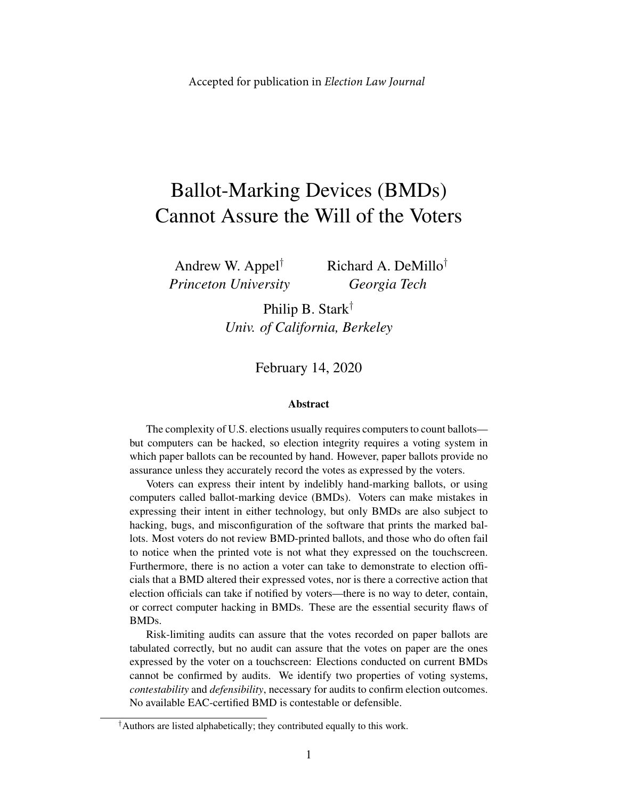# Ballot-Marking Devices (BMDs) Cannot Assure the Will of the Voters

Andrew W. Appel† *Princeton University* Richard A. DeMillo† *Georgia Tech*

Philip B. Stark† *Univ. of California, Berkeley*

February 14, 2020

#### Abstract

The complexity of U.S. elections usually requires computers to count ballots but computers can be hacked, so election integrity requires a voting system in which paper ballots can be recounted by hand. However, paper ballots provide no assurance unless they accurately record the votes as expressed by the voters.

Voters can express their intent by indelibly hand-marking ballots, or using computers called ballot-marking device (BMDs). Voters can make mistakes in expressing their intent in either technology, but only BMDs are also subject to hacking, bugs, and misconfiguration of the software that prints the marked ballots. Most voters do not review BMD-printed ballots, and those who do often fail to notice when the printed vote is not what they expressed on the touchscreen. Furthermore, there is no action a voter can take to demonstrate to election officials that a BMD altered their expressed votes, nor is there a corrective action that election officials can take if notified by voters—there is no way to deter, contain, or correct computer hacking in BMDs. These are the essential security flaws of BMDs.

Risk-limiting audits can assure that the votes recorded on paper ballots are tabulated correctly, but no audit can assure that the votes on paper are the ones expressed by the voter on a touchscreen: Elections conducted on current BMDs cannot be confirmed by audits. We identify two properties of voting systems, *contestability* and *defensibility*, necessary for audits to confirm election outcomes. No available EAC-certified BMD is contestable or defensible.

<sup>†</sup>Authors are listed alphabetically; they contributed equally to this work.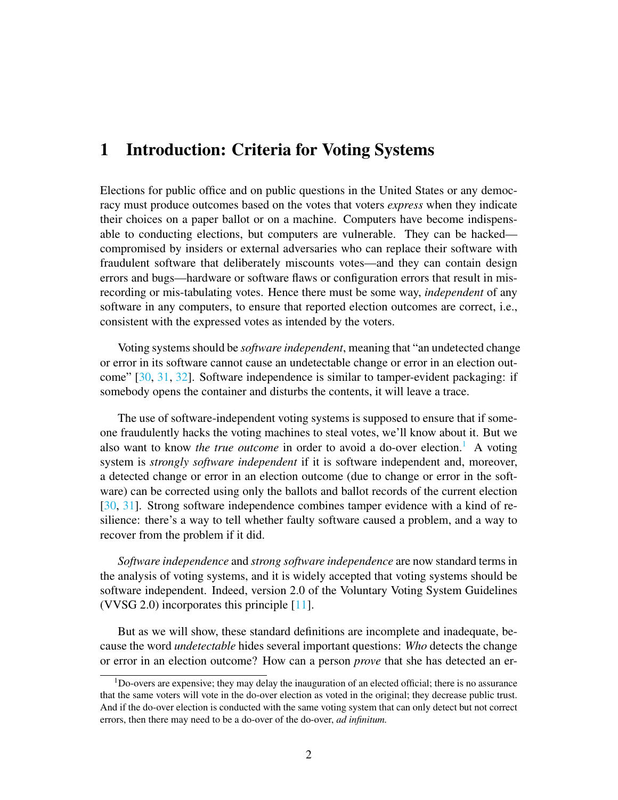#### <span id="page-1-1"></span>1 Introduction: Criteria for Voting Systems

Elections for public office and on public questions in the United States or any democracy must produce outcomes based on the votes that voters *express* when they indicate their choices on a paper ballot or on a machine. Computers have become indispensable to conducting elections, but computers are vulnerable. They can be hacked compromised by insiders or external adversaries who can replace their software with fraudulent software that deliberately miscounts votes—and they can contain design errors and bugs—hardware or software flaws or configuration errors that result in misrecording or mis-tabulating votes. Hence there must be some way, *independent* of any software in any computers, to ensure that reported election outcomes are correct, i.e., consistent with the expressed votes as intended by the voters.

Voting systems should be *software independent*, meaning that "an undetected change or error in its software cannot cause an undetectable change or error in an election outcome" [\[30,](#page-31-0) [31,](#page-31-1) [32\]](#page-31-2). Software independence is similar to tamper-evident packaging: if somebody opens the container and disturbs the contents, it will leave a trace.

The use of software-independent voting systems is supposed to ensure that if someone fraudulently hacks the voting machines to steal votes, we'll know about it. But we also want to know *the true outcome* in order to avoid a do-over election.<sup>[1](#page-1-0)</sup> A voting system is *strongly software independent* if it is software independent and, moreover, a detected change or error in an election outcome (due to change or error in the software) can be corrected using only the ballots and ballot records of the current election [\[30,](#page-31-0) [31\]](#page-31-1). Strong software independence combines tamper evidence with a kind of resilience: there's a way to tell whether faulty software caused a problem, and a way to recover from the problem if it did.

*Software independence* and *strong software independence* are now standard terms in the analysis of voting systems, and it is widely accepted that voting systems should be software independent. Indeed, version 2.0 of the Voluntary Voting System Guidelines (VVSG 2.0) incorporates this principle [\[11\]](#page-29-0).

But as we will show, these standard definitions are incomplete and inadequate, because the word *undetectable* hides several important questions: *Who* detects the change or error in an election outcome? How can a person *prove* that she has detected an er-

<span id="page-1-0"></span><sup>1</sup>Do-overs are expensive; they may delay the inauguration of an elected official; there is no assurance that the same voters will vote in the do-over election as voted in the original; they decrease public trust. And if the do-over election is conducted with the same voting system that can only detect but not correct errors, then there may need to be a do-over of the do-over, *ad infinitum.*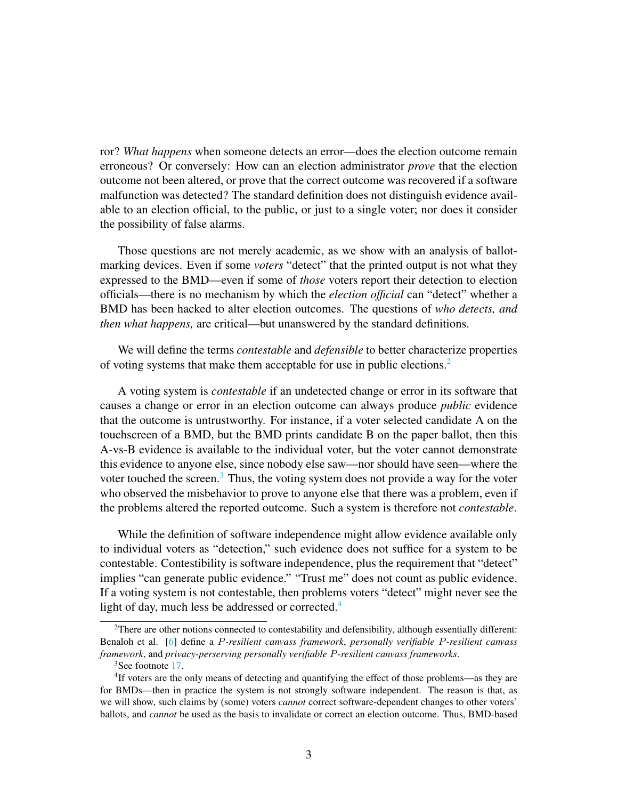ror? *What happens* when someone detects an error—does the election outcome remain erroneous? Or conversely: How can an election administrator *prove* that the election outcome not been altered, or prove that the correct outcome was recovered if a software malfunction was detected? The standard definition does not distinguish evidence available to an election official, to the public, or just to a single voter; nor does it consider the possibility of false alarms.

Those questions are not merely academic, as we show with an analysis of ballotmarking devices. Even if some *voters* "detect" that the printed output is not what they expressed to the BMD—even if some of *those* voters report their detection to election officials—there is no mechanism by which the *election official* can "detect" whether a BMD has been hacked to alter election outcomes. The questions of *who detects, and then what happens,* are critical—but unanswered by the standard definitions.

We will define the terms *contestable* and *defensible* to better characterize properties of voting systems that make them acceptable for use in public elections.[2](#page-2-0)

A voting system is *contestable* if an undetected change or error in its software that causes a change or error in an election outcome can always produce *public* evidence that the outcome is untrustworthy. For instance, if a voter selected candidate A on the touchscreen of a BMD, but the BMD prints candidate B on the paper ballot, then this A-vs-B evidence is available to the individual voter, but the voter cannot demonstrate this evidence to anyone else, since nobody else saw—nor should have seen—where the voter touched the screen.<sup>[3](#page-2-1)</sup> Thus, the voting system does not provide a way for the voter who observed the misbehavior to prove to anyone else that there was a problem, even if the problems altered the reported outcome. Such a system is therefore not *contestable*.

While the definition of software independence might allow evidence available only to individual voters as "detection," such evidence does not suffice for a system to be contestable. Contestibility is software independence, plus the requirement that "detect" implies "can generate public evidence." "Trust me" does not count as public evidence. If a voting system is not contestable, then problems voters "detect" might never see the light of day, much less be addressed or corrected.<sup>[4](#page-2-2)</sup>

<span id="page-2-0"></span><sup>2</sup>There are other notions connected to contestability and defensibility, although essentially different: Benaloh et al. [\[6\]](#page-29-1) define a P*-resilient canvass framework*, *personally verifiable* P*-resilient canvass framework*, and *privacy-perserving personally verifiable* P*-resilient canvass frameworks*.

<span id="page-2-2"></span><span id="page-2-1"></span><sup>&</sup>lt;sup>3</sup>See footnote [17.](#page-11-0)

<sup>&</sup>lt;sup>4</sup>If voters are the only means of detecting and quantifying the effect of those problems—as they are for BMDs—then in practice the system is not strongly software independent. The reason is that, as we will show, such claims by (some) voters *cannot* correct software-dependent changes to other voters' ballots, and *cannot* be used as the basis to invalidate or correct an election outcome. Thus, BMD-based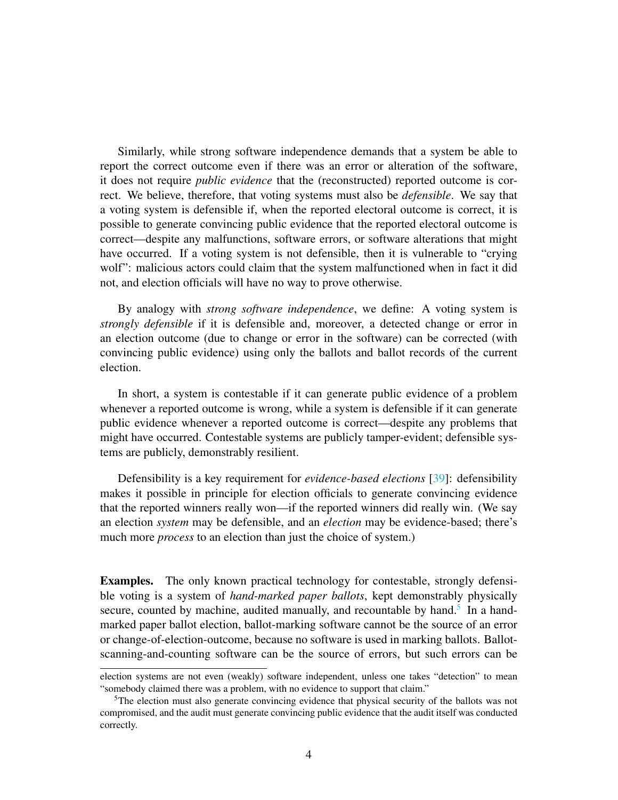Similarly, while strong software independence demands that a system be able to report the correct outcome even if there was an error or alteration of the software, it does not require *public evidence* that the (reconstructed) reported outcome is correct. We believe, therefore, that voting systems must also be *defensible*. We say that a voting system is defensible if, when the reported electoral outcome is correct, it is possible to generate convincing public evidence that the reported electoral outcome is correct—despite any malfunctions, software errors, or software alterations that might have occurred. If a voting system is not defensible, then it is vulnerable to "crying wolf": malicious actors could claim that the system malfunctioned when in fact it did not, and election officials will have no way to prove otherwise.

By analogy with *strong software independence*, we define: A voting system is *strongly defensible* if it is defensible and, moreover, a detected change or error in an election outcome (due to change or error in the software) can be corrected (with convincing public evidence) using only the ballots and ballot records of the current election.

In short, a system is contestable if it can generate public evidence of a problem whenever a reported outcome is wrong, while a system is defensible if it can generate public evidence whenever a reported outcome is correct—despite any problems that might have occurred. Contestable systems are publicly tamper-evident; defensible systems are publicly, demonstrably resilient.

Defensibility is a key requirement for *evidence-based elections* [\[39\]](#page-32-0): defensibility makes it possible in principle for election officials to generate convincing evidence that the reported winners really won—if the reported winners did really win. (We say an election *system* may be defensible, and an *election* may be evidence-based; there's much more *process* to an election than just the choice of system.)

Examples. The only known practical technology for contestable, strongly defensible voting is a system of *hand-marked paper ballots*, kept demonstrably physically secure, counted by machine, audited manually, and recountable by hand.<sup>[5](#page-3-0)</sup> In a handmarked paper ballot election, ballot-marking software cannot be the source of an error or change-of-election-outcome, because no software is used in marking ballots. Ballotscanning-and-counting software can be the source of errors, but such errors can be

election systems are not even (weakly) software independent, unless one takes "detection" to mean "somebody claimed there was a problem, with no evidence to support that claim."

<span id="page-3-0"></span><sup>&</sup>lt;sup>5</sup>The election must also generate convincing evidence that physical security of the ballots was not compromised, and the audit must generate convincing public evidence that the audit itself was conducted correctly.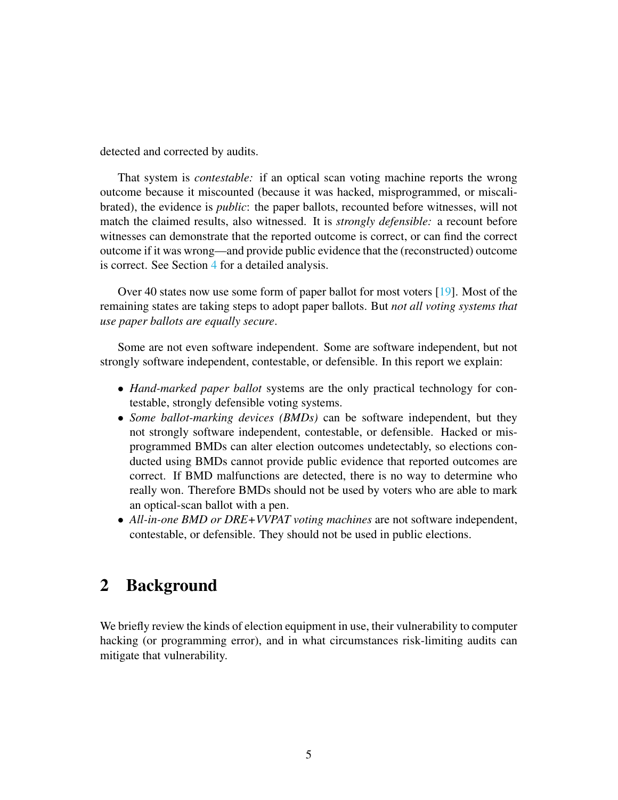detected and corrected by audits.

That system is *contestable:* if an optical scan voting machine reports the wrong outcome because it miscounted (because it was hacked, misprogrammed, or miscalibrated), the evidence is *public*: the paper ballots, recounted before witnesses, will not match the claimed results, also witnessed. It is *strongly defensible:* a recount before witnesses can demonstrate that the reported outcome is correct, or can find the correct outcome if it was wrong—and provide public evidence that the (reconstructed) outcome is correct. See Section [4](#page-14-0) for a detailed analysis.

Over 40 states now use some form of paper ballot for most voters [\[19\]](#page-30-0). Most of the remaining states are taking steps to adopt paper ballots. But *not all voting systems that use paper ballots are equally secure*.

Some are not even software independent. Some are software independent, but not strongly software independent, contestable, or defensible. In this report we explain:

- *Hand-marked paper ballot* systems are the only practical technology for contestable, strongly defensible voting systems.
- *Some ballot-marking devices (BMDs)* can be software independent, but they not strongly software independent, contestable, or defensible. Hacked or misprogrammed BMDs can alter election outcomes undetectably, so elections conducted using BMDs cannot provide public evidence that reported outcomes are correct. If BMD malfunctions are detected, there is no way to determine who really won. Therefore BMDs should not be used by voters who are able to mark an optical-scan ballot with a pen.
- *All-in-one BMD or DRE+VVPAT voting machines* are not software independent, contestable, or defensible. They should not be used in public elections.

# 2 Background

We briefly review the kinds of election equipment in use, their vulnerability to computer hacking (or programming error), and in what circumstances risk-limiting audits can mitigate that vulnerability.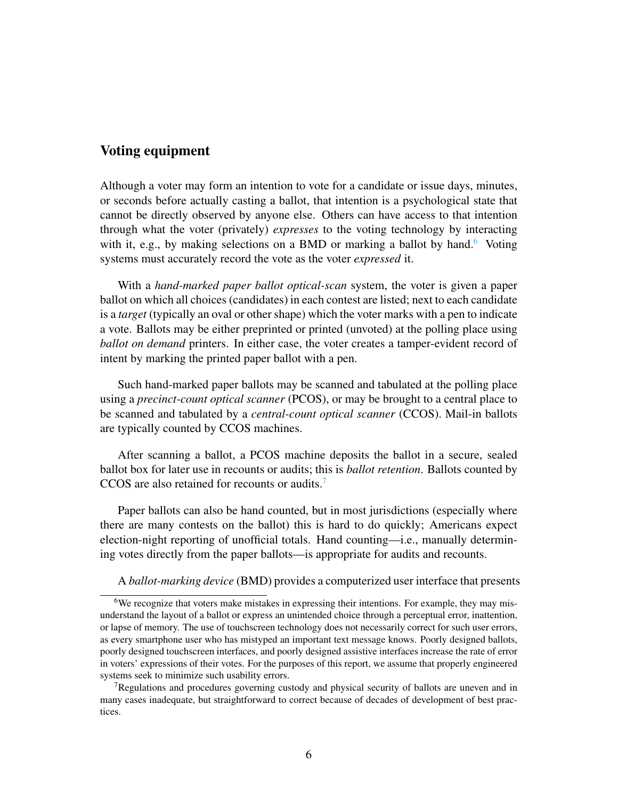#### Voting equipment

Although a voter may form an intention to vote for a candidate or issue days, minutes, or seconds before actually casting a ballot, that intention is a psychological state that cannot be directly observed by anyone else. Others can have access to that intention through what the voter (privately) *expresses* to the voting technology by interacting with it, e.g., by making selections on a BMD or marking a ballot by hand.<sup>[6](#page-5-0)</sup> Voting systems must accurately record the vote as the voter *expressed* it.

With a *hand-marked paper ballot optical-scan* system, the voter is given a paper ballot on which all choices (candidates) in each contest are listed; next to each candidate is a *target* (typically an oval or other shape) which the voter marks with a pen to indicate a vote. Ballots may be either preprinted or printed (unvoted) at the polling place using *ballot on demand* printers. In either case, the voter creates a tamper-evident record of intent by marking the printed paper ballot with a pen.

Such hand-marked paper ballots may be scanned and tabulated at the polling place using a *precinct-count optical scanner* (PCOS), or may be brought to a central place to be scanned and tabulated by a *central-count optical scanner* (CCOS). Mail-in ballots are typically counted by CCOS machines.

After scanning a ballot, a PCOS machine deposits the ballot in a secure, sealed ballot box for later use in recounts or audits; this is *ballot retention*. Ballots counted by CCOS are also retained for recounts or audits.[7](#page-5-1)

Paper ballots can also be hand counted, but in most jurisdictions (especially where there are many contests on the ballot) this is hard to do quickly; Americans expect election-night reporting of unofficial totals. Hand counting—i.e., manually determining votes directly from the paper ballots—is appropriate for audits and recounts.

<span id="page-5-0"></span>A *ballot-marking device* (BMD) provides a computerized user interface that presents

<sup>&</sup>lt;sup>6</sup>We recognize that voters make mistakes in expressing their intentions. For example, they may misunderstand the layout of a ballot or express an unintended choice through a perceptual error, inattention, or lapse of memory. The use of touchscreen technology does not necessarily correct for such user errors, as every smartphone user who has mistyped an important text message knows. Poorly designed ballots, poorly designed touchscreen interfaces, and poorly designed assistive interfaces increase the rate of error in voters' expressions of their votes. For the purposes of this report, we assume that properly engineered systems seek to minimize such usability errors.

<span id="page-5-1"></span><sup>&</sup>lt;sup>7</sup>Regulations and procedures governing custody and physical security of ballots are uneven and in many cases inadequate, but straightforward to correct because of decades of development of best practices.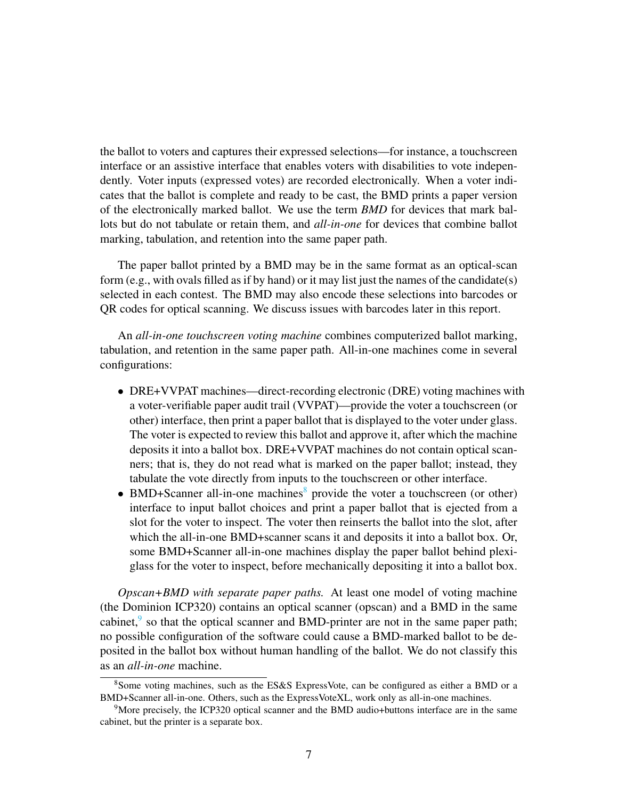the ballot to voters and captures their expressed selections—for instance, a touchscreen interface or an assistive interface that enables voters with disabilities to vote independently. Voter inputs (expressed votes) are recorded electronically. When a voter indicates that the ballot is complete and ready to be cast, the BMD prints a paper version of the electronically marked ballot. We use the term *BMD* for devices that mark ballots but do not tabulate or retain them, and *all-in-one* for devices that combine ballot marking, tabulation, and retention into the same paper path.

The paper ballot printed by a BMD may be in the same format as an optical-scan form (e.g., with ovals filled as if by hand) or it may list just the names of the candidate(s) selected in each contest. The BMD may also encode these selections into barcodes or QR codes for optical scanning. We discuss issues with barcodes later in this report.

An *all-in-one touchscreen voting machine* combines computerized ballot marking, tabulation, and retention in the same paper path. All-in-one machines come in several configurations:

- DRE+VVPAT machines—direct-recording electronic (DRE) voting machines with a voter-verifiable paper audit trail (VVPAT)—provide the voter a touchscreen (or other) interface, then print a paper ballot that is displayed to the voter under glass. The voter is expected to review this ballot and approve it, after which the machine deposits it into a ballot box. DRE+VVPAT machines do not contain optical scanners; that is, they do not read what is marked on the paper ballot; instead, they tabulate the vote directly from inputs to the touchscreen or other interface.
- BMD+Scanner all-in-one machines<sup>[8](#page-6-0)</sup> provide the voter a touchscreen (or other) interface to input ballot choices and print a paper ballot that is ejected from a slot for the voter to inspect. The voter then reinserts the ballot into the slot, after which the all-in-one BMD+scanner scans it and deposits it into a ballot box. Or, some BMD+Scanner all-in-one machines display the paper ballot behind plexiglass for the voter to inspect, before mechanically depositing it into a ballot box.

*Opscan+BMD with separate paper paths.* At least one model of voting machine (the Dominion ICP320) contains an optical scanner (opscan) and a BMD in the same cabinet, $9$  so that the optical scanner and BMD-printer are not in the same paper path; no possible configuration of the software could cause a BMD-marked ballot to be deposited in the ballot box without human handling of the ballot. We do not classify this as an *all-in-one* machine.

<span id="page-6-0"></span><sup>8</sup>Some voting machines, such as the ES&S ExpressVote, can be configured as either a BMD or a BMD+Scanner all-in-one. Others, such as the ExpressVoteXL, work only as all-in-one machines.

<span id="page-6-1"></span><sup>9</sup>More precisely, the ICP320 optical scanner and the BMD audio+buttons interface are in the same cabinet, but the printer is a separate box.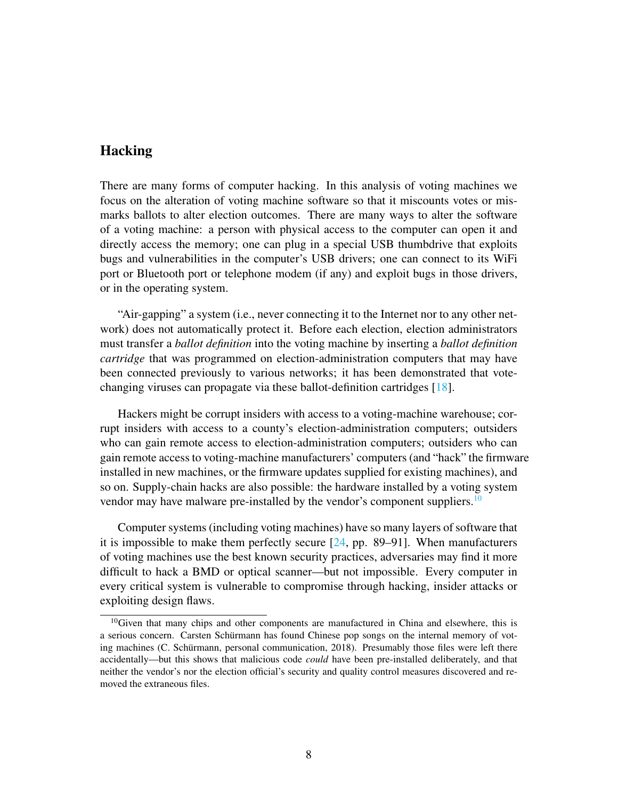#### Hacking

There are many forms of computer hacking. In this analysis of voting machines we focus on the alteration of voting machine software so that it miscounts votes or mismarks ballots to alter election outcomes. There are many ways to alter the software of a voting machine: a person with physical access to the computer can open it and directly access the memory; one can plug in a special USB thumbdrive that exploits bugs and vulnerabilities in the computer's USB drivers; one can connect to its WiFi port or Bluetooth port or telephone modem (if any) and exploit bugs in those drivers, or in the operating system.

"Air-gapping" a system (i.e., never connecting it to the Internet nor to any other network) does not automatically protect it. Before each election, election administrators must transfer a *ballot definition* into the voting machine by inserting a *ballot definition cartridge* that was programmed on election-administration computers that may have been connected previously to various networks; it has been demonstrated that votechanging viruses can propagate via these ballot-definition cartridges [\[18\]](#page-30-1).

Hackers might be corrupt insiders with access to a voting-machine warehouse; corrupt insiders with access to a county's election-administration computers; outsiders who can gain remote access to election-administration computers; outsiders who can gain remote access to voting-machine manufacturers' computers (and "hack" the firmware installed in new machines, or the firmware updates supplied for existing machines), and so on. Supply-chain hacks are also possible: the hardware installed by a voting system vendor may have malware pre-installed by the vendor's component suppliers.<sup>[10](#page-7-0)</sup>

Computer systems (including voting machines) have so many layers of software that it is impossible to make them perfectly secure [\[24,](#page-30-2) pp. 89–91]. When manufacturers of voting machines use the best known security practices, adversaries may find it more difficult to hack a BMD or optical scanner—but not impossible. Every computer in every critical system is vulnerable to compromise through hacking, insider attacks or exploiting design flaws.

<span id="page-7-0"></span><sup>&</sup>lt;sup>10</sup>Given that many chips and other components are manufactured in China and elsewhere, this is a serious concern. Carsten Schürmann has found Chinese pop songs on the internal memory of voting machines (C. Schürmann, personal communication, 2018). Presumably those files were left there accidentally—but this shows that malicious code *could* have been pre-installed deliberately, and that neither the vendor's nor the election official's security and quality control measures discovered and removed the extraneous files.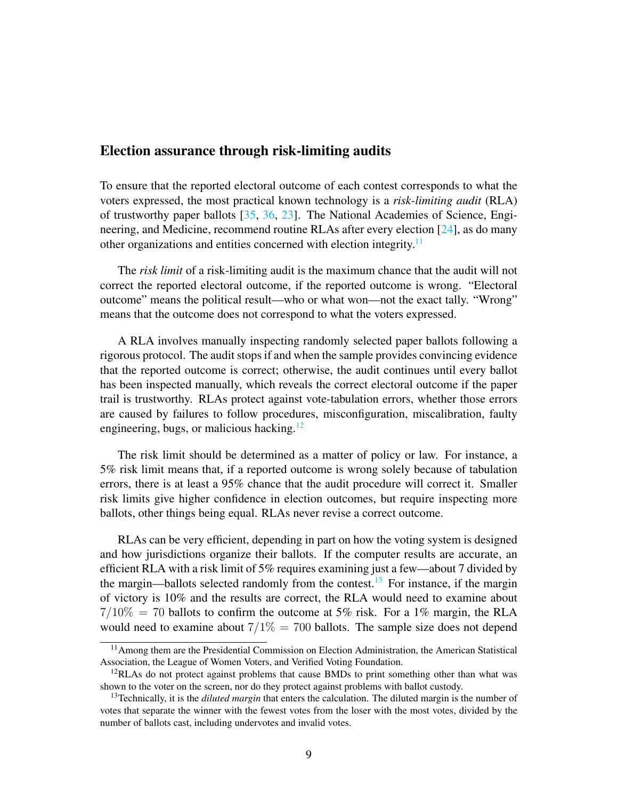#### Election assurance through risk-limiting audits

To ensure that the reported electoral outcome of each contest corresponds to what the voters expressed, the most practical known technology is a *risk-limiting audit* (RLA) of trustworthy paper ballots [\[35,](#page-31-3) [36,](#page-31-4) [23\]](#page-30-3). The National Academies of Science, Engineering, and Medicine, recommend routine RLAs after every election [\[24\]](#page-30-2), as do many other organizations and entities concerned with election integrity.<sup>[11](#page-8-0)</sup>

The *risk limit* of a risk-limiting audit is the maximum chance that the audit will not correct the reported electoral outcome, if the reported outcome is wrong. "Electoral outcome" means the political result—who or what won—not the exact tally. "Wrong" means that the outcome does not correspond to what the voters expressed.

A RLA involves manually inspecting randomly selected paper ballots following a rigorous protocol. The audit stops if and when the sample provides convincing evidence that the reported outcome is correct; otherwise, the audit continues until every ballot has been inspected manually, which reveals the correct electoral outcome if the paper trail is trustworthy. RLAs protect against vote-tabulation errors, whether those errors are caused by failures to follow procedures, misconfiguration, miscalibration, faulty engineering, bugs, or malicious hacking. $12$ 

The risk limit should be determined as a matter of policy or law. For instance, a 5% risk limit means that, if a reported outcome is wrong solely because of tabulation errors, there is at least a 95% chance that the audit procedure will correct it. Smaller risk limits give higher confidence in election outcomes, but require inspecting more ballots, other things being equal. RLAs never revise a correct outcome.

RLAs can be very efficient, depending in part on how the voting system is designed and how jurisdictions organize their ballots. If the computer results are accurate, an efficient RLA with a risk limit of 5% requires examining just a few—about 7 divided by the margin—ballots selected randomly from the contest.<sup>[13](#page-8-2)</sup> For instance, if the margin of victory is 10% and the results are correct, the RLA would need to examine about  $7/10\% = 70$  ballots to confirm the outcome at 5% risk. For a 1% margin, the RLA would need to examine about  $7/1\% = 700$  ballots. The sample size does not depend

<span id="page-8-0"></span><sup>&</sup>lt;sup>11</sup> Among them are the Presidential Commission on Election Administration, the American Statistical Association, the League of Women Voters, and Verified Voting Foundation.

<span id="page-8-1"></span> $12R$ RLAS do not protect against problems that cause BMDs to print something other than what wasshown to the voter on the screen, nor do they protect against problems with ballot custody.

<span id="page-8-2"></span><sup>13</sup>Technically, it is the *diluted margin* that enters the calculation. The diluted margin is the number of votes that separate the winner with the fewest votes from the loser with the most votes, divided by the number of ballots cast, including undervotes and invalid votes.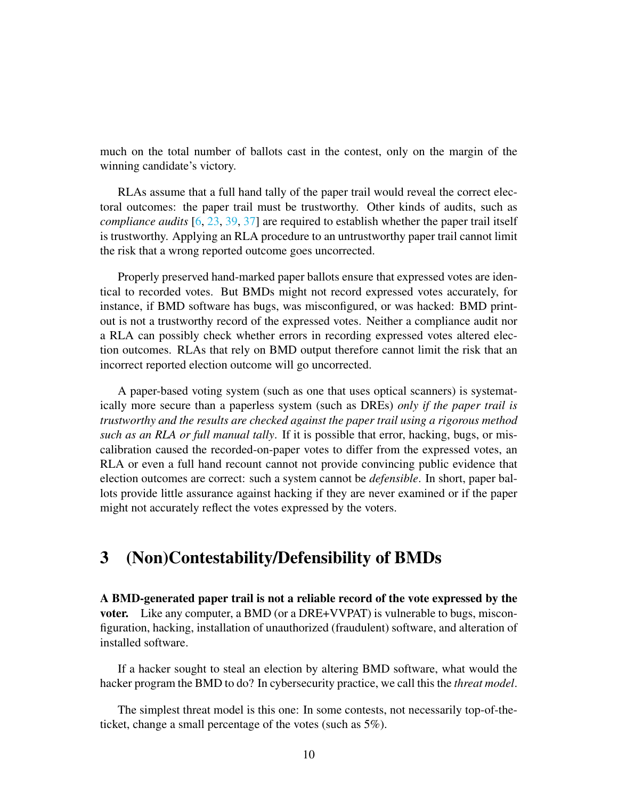much on the total number of ballots cast in the contest, only on the margin of the winning candidate's victory.

RLAs assume that a full hand tally of the paper trail would reveal the correct electoral outcomes: the paper trail must be trustworthy. Other kinds of audits, such as *compliance audits* [\[6,](#page-29-1) [23,](#page-30-3) [39,](#page-32-0) [37\]](#page-32-1) are required to establish whether the paper trail itself is trustworthy. Applying an RLA procedure to an untrustworthy paper trail cannot limit the risk that a wrong reported outcome goes uncorrected.

Properly preserved hand-marked paper ballots ensure that expressed votes are identical to recorded votes. But BMDs might not record expressed votes accurately, for instance, if BMD software has bugs, was misconfigured, or was hacked: BMD printout is not a trustworthy record of the expressed votes. Neither a compliance audit nor a RLA can possibly check whether errors in recording expressed votes altered election outcomes. RLAs that rely on BMD output therefore cannot limit the risk that an incorrect reported election outcome will go uncorrected.

A paper-based voting system (such as one that uses optical scanners) is systematically more secure than a paperless system (such as DREs) *only if the paper trail is trustworthy and the results are checked against the paper trail using a rigorous method such as an RLA or full manual tally*. If it is possible that error, hacking, bugs, or miscalibration caused the recorded-on-paper votes to differ from the expressed votes, an RLA or even a full hand recount cannot not provide convincing public evidence that election outcomes are correct: such a system cannot be *defensible*. In short, paper ballots provide little assurance against hacking if they are never examined or if the paper might not accurately reflect the votes expressed by the voters.

### <span id="page-9-0"></span>3 (Non)Contestability/Defensibility of BMDs

A BMD-generated paper trail is not a reliable record of the vote expressed by the voter. Like any computer, a BMD (or a DRE+VVPAT) is vulnerable to bugs, misconfiguration, hacking, installation of unauthorized (fraudulent) software, and alteration of installed software.

If a hacker sought to steal an election by altering BMD software, what would the hacker program the BMD to do? In cybersecurity practice, we call this the *threat model*.

The simplest threat model is this one: In some contests, not necessarily top-of-theticket, change a small percentage of the votes (such as 5%).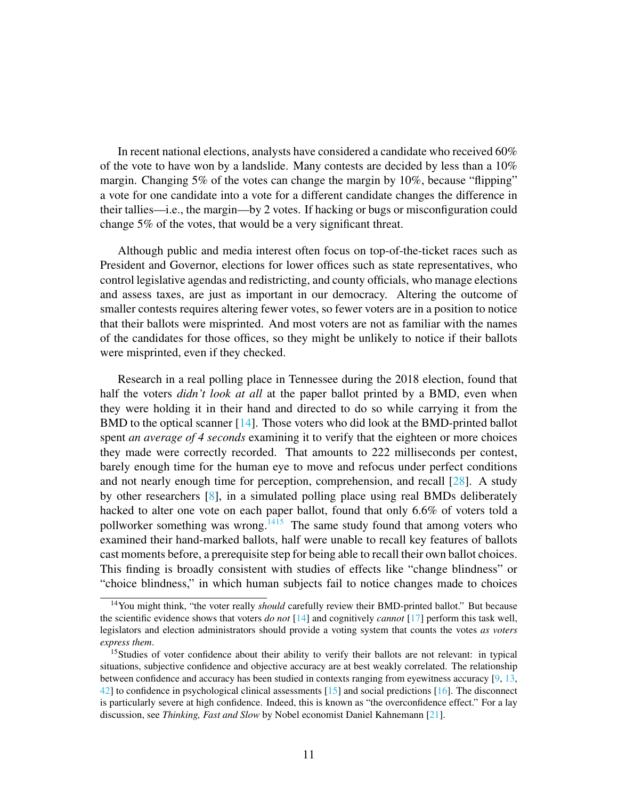In recent national elections, analysts have considered a candidate who received 60% of the vote to have won by a landslide. Many contests are decided by less than a 10% margin. Changing 5% of the votes can change the margin by 10%, because "flipping" a vote for one candidate into a vote for a different candidate changes the difference in their tallies—i.e., the margin—by 2 votes. If hacking or bugs or misconfiguration could change 5% of the votes, that would be a very significant threat.

Although public and media interest often focus on top-of-the-ticket races such as President and Governor, elections for lower offices such as state representatives, who control legislative agendas and redistricting, and county officials, who manage elections and assess taxes, are just as important in our democracy. Altering the outcome of smaller contests requires altering fewer votes, so fewer voters are in a position to notice that their ballots were misprinted. And most voters are not as familiar with the names of the candidates for those offices, so they might be unlikely to notice if their ballots were misprinted, even if they checked.

Research in a real polling place in Tennessee during the 2018 election, found that half the voters *didn't look at all* at the paper ballot printed by a BMD, even when they were holding it in their hand and directed to do so while carrying it from the BMD to the optical scanner [\[14\]](#page-30-4). Those voters who did look at the BMD-printed ballot spent *an average of 4 seconds* examining it to verify that the eighteen or more choices they made were correctly recorded. That amounts to 222 milliseconds per contest, barely enough time for the human eye to move and refocus under perfect conditions and not nearly enough time for perception, comprehension, and recall [\[28\]](#page-31-5). A study by other researchers [\[8\]](#page-29-2), in a simulated polling place using real BMDs deliberately hacked to alter one vote on each paper ballot, found that only 6.6% of voters told a pollworker something was wrong.<sup>[14](#page-10-0)[15](#page-10-1)</sup> The same study found that among voters who examined their hand-marked ballots, half were unable to recall key features of ballots cast moments before, a prerequisite step for being able to recall their own ballot choices. This finding is broadly consistent with studies of effects like "change blindness" or "choice blindness," in which human subjects fail to notice changes made to choices

<span id="page-10-0"></span><sup>&</sup>lt;sup>14</sup>You might think, "the voter really *should* carefully review their BMD-printed ballot." But because the scientific evidence shows that voters *do not* [\[14\]](#page-30-4) and cognitively *cannot* [\[17\]](#page-30-5) perform this task well, legislators and election administrators should provide a voting system that counts the votes *as voters express them*.

<span id="page-10-1"></span><sup>&</sup>lt;sup>15</sup>Studies of voter confidence about their ability to verify their ballots are not relevant: in typical situations, subjective confidence and objective accuracy are at best weakly correlated. The relationship between confidence and accuracy has been studied in contexts ranging from eyewitness accuracy [\[9,](#page-29-3) [13,](#page-29-4) [42\]](#page-32-2) to confidence in psychological clinical assessments [\[15\]](#page-30-6) and social predictions [\[16\]](#page-30-7). The disconnect is particularly severe at high confidence. Indeed, this is known as "the overconfidence effect." For a lay discussion, see *Thinking, Fast and Slow* by Nobel economist Daniel Kahnemann [\[21\]](#page-30-8).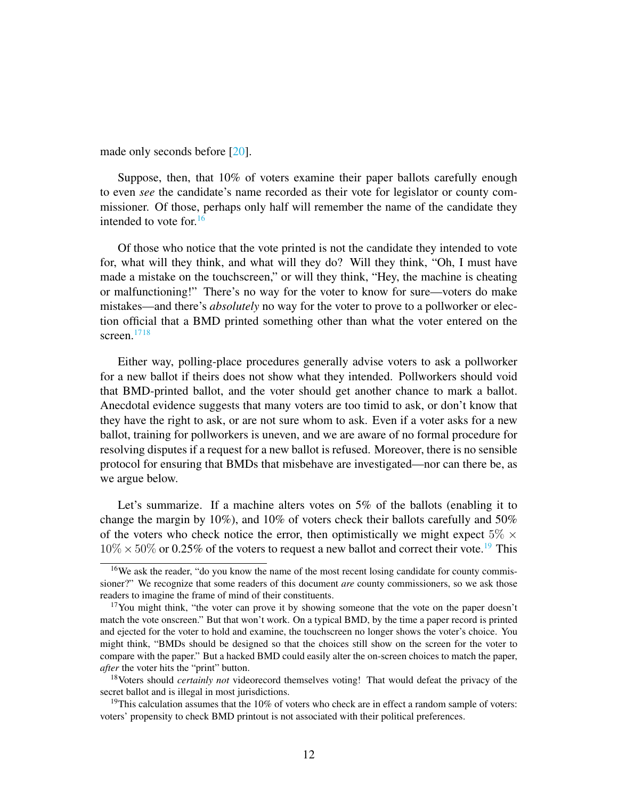made only seconds before [\[20\]](#page-30-9).

Suppose, then, that 10% of voters examine their paper ballots carefully enough to even *see* the candidate's name recorded as their vote for legislator or county commissioner. Of those, perhaps only half will remember the name of the candidate they intended to vote for. $16$ 

Of those who notice that the vote printed is not the candidate they intended to vote for, what will they think, and what will they do? Will they think, "Oh, I must have made a mistake on the touchscreen," or will they think, "Hey, the machine is cheating or malfunctioning!" There's no way for the voter to know for sure—voters do make mistakes—and there's *absolutely* no way for the voter to prove to a pollworker or election official that a BMD printed something other than what the voter entered on the screen.<sup>[17](#page-11-0)[18](#page-11-2)</sup>

Either way, polling-place procedures generally advise voters to ask a pollworker for a new ballot if theirs does not show what they intended. Pollworkers should void that BMD-printed ballot, and the voter should get another chance to mark a ballot. Anecdotal evidence suggests that many voters are too timid to ask, or don't know that they have the right to ask, or are not sure whom to ask. Even if a voter asks for a new ballot, training for pollworkers is uneven, and we are aware of no formal procedure for resolving disputes if a request for a new ballot is refused. Moreover, there is no sensible protocol for ensuring that BMDs that misbehave are investigated—nor can there be, as we argue below.

Let's summarize. If a machine alters votes on 5% of the ballots (enabling it to change the margin by 10%), and 10% of voters check their ballots carefully and 50% of the voters who check notice the error, then optimistically we might expect  $5\% \times$  $10\% \times 50\%$  or 0.25% of the voters to request a new ballot and correct their vote.<sup>[19](#page-11-3)</sup> This

<span id="page-11-1"></span><sup>&</sup>lt;sup>16</sup>We ask the reader, "do you know the name of the most recent losing candidate for county commissioner?" We recognize that some readers of this document *are* county commissioners, so we ask those readers to imagine the frame of mind of their constituents.

<span id="page-11-0"></span><sup>&</sup>lt;sup>17</sup>You might think, "the voter can prove it by showing someone that the vote on the paper doesn't match the vote onscreen." But that won't work. On a typical BMD, by the time a paper record is printed and ejected for the voter to hold and examine, the touchscreen no longer shows the voter's choice. You might think, "BMDs should be designed so that the choices still show on the screen for the voter to compare with the paper." But a hacked BMD could easily alter the on-screen choices to match the paper, *after* the voter hits the "print" button.

<span id="page-11-2"></span><sup>18</sup>Voters should *certainly not* videorecord themselves voting! That would defeat the privacy of the secret ballot and is illegal in most jurisdictions.

<span id="page-11-3"></span><sup>&</sup>lt;sup>19</sup>This calculation assumes that the  $10\%$  of voters who check are in effect a random sample of voters: voters' propensity to check BMD printout is not associated with their political preferences.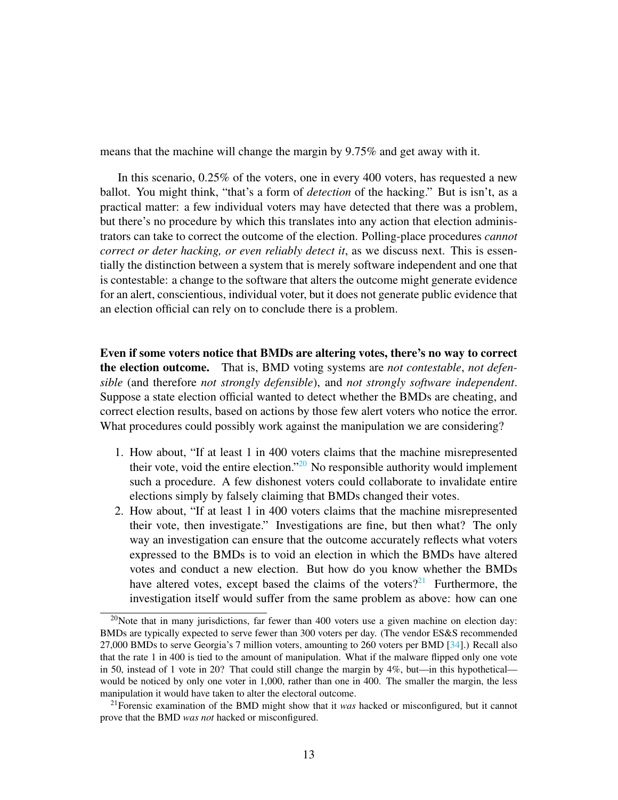means that the machine will change the margin by 9.75% and get away with it.

In this scenario, 0.25% of the voters, one in every 400 voters, has requested a new ballot. You might think, "that's a form of *detection* of the hacking." But is isn't, as a practical matter: a few individual voters may have detected that there was a problem, but there's no procedure by which this translates into any action that election administrators can take to correct the outcome of the election. Polling-place procedures *cannot correct or deter hacking, or even reliably detect it*, as we discuss next. This is essentially the distinction between a system that is merely software independent and one that is contestable: a change to the software that alters the outcome might generate evidence for an alert, conscientious, individual voter, but it does not generate public evidence that an election official can rely on to conclude there is a problem.

Even if some voters notice that BMDs are altering votes, there's no way to correct the election outcome. That is, BMD voting systems are *not contestable*, *not defensible* (and therefore *not strongly defensible*), and *not strongly software independent*. Suppose a state election official wanted to detect whether the BMDs are cheating, and correct election results, based on actions by those few alert voters who notice the error. What procedures could possibly work against the manipulation we are considering?

- 1. How about, "If at least 1 in 400 voters claims that the machine misrepresented their vote, void the entire election."<sup>[20](#page-12-0)</sup> No responsible authority would implement such a procedure. A few dishonest voters could collaborate to invalidate entire elections simply by falsely claiming that BMDs changed their votes.
- 2. How about, "If at least 1 in 400 voters claims that the machine misrepresented their vote, then investigate." Investigations are fine, but then what? The only way an investigation can ensure that the outcome accurately reflects what voters expressed to the BMDs is to void an election in which the BMDs have altered votes and conduct a new election. But how do you know whether the BMDs have altered votes, except based the claims of the voters?<sup>[21](#page-12-1)</sup> Furthermore, the investigation itself would suffer from the same problem as above: how can one

<span id="page-12-0"></span><sup>&</sup>lt;sup>20</sup>Note that in many jurisdictions, far fewer than 400 voters use a given machine on election day: BMDs are typically expected to serve fewer than 300 voters per day. (The vendor ES&S recommended 27,000 BMDs to serve Georgia's 7 million voters, amounting to 260 voters per BMD [\[34\]](#page-31-6).) Recall also that the rate 1 in 400 is tied to the amount of manipulation. What if the malware flipped only one vote in 50, instead of 1 vote in 20? That could still change the margin by 4%, but—in this hypothetical would be noticed by only one voter in 1,000, rather than one in 400. The smaller the margin, the less manipulation it would have taken to alter the electoral outcome.

<span id="page-12-1"></span><sup>21</sup>Forensic examination of the BMD might show that it *was* hacked or misconfigured, but it cannot prove that the BMD *was not* hacked or misconfigured.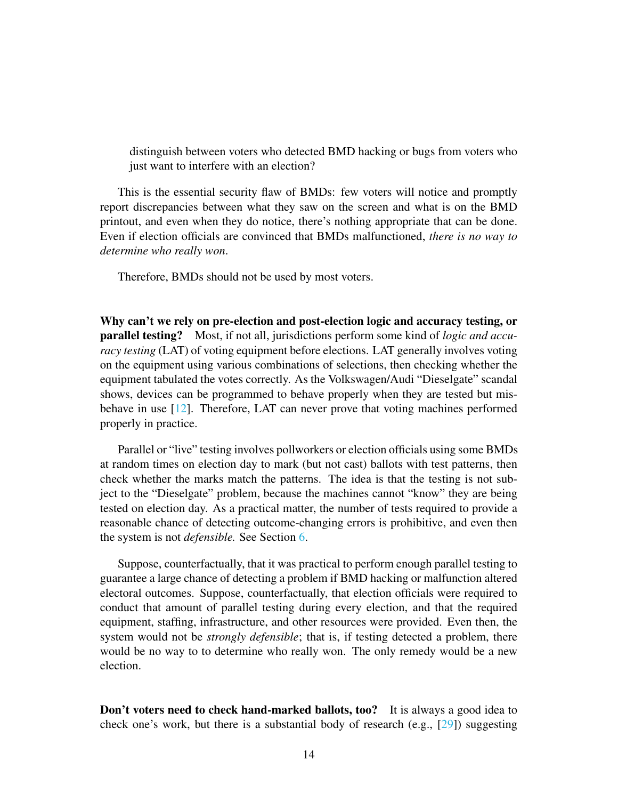distinguish between voters who detected BMD hacking or bugs from voters who just want to interfere with an election?

This is the essential security flaw of BMDs: few voters will notice and promptly report discrepancies between what they saw on the screen and what is on the BMD printout, and even when they do notice, there's nothing appropriate that can be done. Even if election officials are convinced that BMDs malfunctioned, *there is no way to determine who really won*.

Therefore, BMDs should not be used by most voters.

Why can't we rely on pre-election and post-election logic and accuracy testing, or parallel testing? Most, if not all, jurisdictions perform some kind of *logic and accuracy testing* (LAT) of voting equipment before elections. LAT generally involves voting on the equipment using various combinations of selections, then checking whether the equipment tabulated the votes correctly. As the Volkswagen/Audi "Dieselgate" scandal shows, devices can be programmed to behave properly when they are tested but misbehave in use [\[12\]](#page-29-5). Therefore, LAT can never prove that voting machines performed properly in practice.

Parallel or "live" testing involves pollworkers or election officials using some BMDs at random times on election day to mark (but not cast) ballots with test patterns, then check whether the marks match the patterns. The idea is that the testing is not subject to the "Dieselgate" problem, because the machines cannot "know" they are being tested on election day. As a practical matter, the number of tests required to provide a reasonable chance of detecting outcome-changing errors is prohibitive, and even then the system is not *defensible.* See Section [6.](#page-18-0)

Suppose, counterfactually, that it was practical to perform enough parallel testing to guarantee a large chance of detecting a problem if BMD hacking or malfunction altered electoral outcomes. Suppose, counterfactually, that election officials were required to conduct that amount of parallel testing during every election, and that the required equipment, staffing, infrastructure, and other resources were provided. Even then, the system would not be *strongly defensible*; that is, if testing detected a problem, there would be no way to to determine who really won. The only remedy would be a new election.

Don't voters need to check hand-marked ballots, too? It is always a good idea to check one's work, but there is a substantial body of research (e.g.,  $[29]$ ) suggesting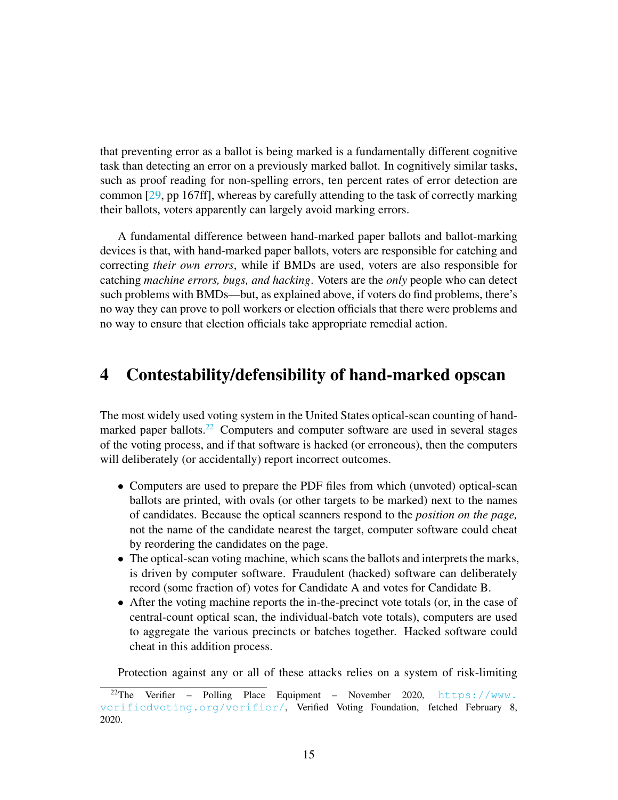that preventing error as a ballot is being marked is a fundamentally different cognitive task than detecting an error on a previously marked ballot. In cognitively similar tasks, such as proof reading for non-spelling errors, ten percent rates of error detection are common [\[29,](#page-31-7) pp 167ff], whereas by carefully attending to the task of correctly marking their ballots, voters apparently can largely avoid marking errors.

A fundamental difference between hand-marked paper ballots and ballot-marking devices is that, with hand-marked paper ballots, voters are responsible for catching and correcting *their own errors*, while if BMDs are used, voters are also responsible for catching *machine errors, bugs, and hacking*. Voters are the *only* people who can detect such problems with BMDs—but, as explained above, if voters do find problems, there's no way they can prove to poll workers or election officials that there were problems and no way to ensure that election officials take appropriate remedial action.

#### <span id="page-14-0"></span>4 Contestability/defensibility of hand-marked opscan

The most widely used voting system in the United States optical-scan counting of hand-marked paper ballots.<sup>[22](#page-14-1)</sup> Computers and computer software are used in several stages of the voting process, and if that software is hacked (or erroneous), then the computers will deliberately (or accidentally) report incorrect outcomes.

- Computers are used to prepare the PDF files from which (unvoted) optical-scan ballots are printed, with ovals (or other targets to be marked) next to the names of candidates. Because the optical scanners respond to the *position on the page,* not the name of the candidate nearest the target, computer software could cheat by reordering the candidates on the page.
- The optical-scan voting machine, which scans the ballots and interprets the marks, is driven by computer software. Fraudulent (hacked) software can deliberately record (some fraction of) votes for Candidate A and votes for Candidate B.
- After the voting machine reports the in-the-precinct vote totals (or, in the case of central-count optical scan, the individual-batch vote totals), computers are used to aggregate the various precincts or batches together. Hacked software could cheat in this addition process.

Protection against any or all of these attacks relies on a system of risk-limiting

<span id="page-14-1"></span><sup>&</sup>lt;sup>22</sup>The Verifier – Polling Place Equipment – November 2020,  $https://www.$ [verifiedvoting.org/verifier/](https://www.verifiedvoting.org/verifier/), Verified Voting Foundation, fetched February 8, 2020.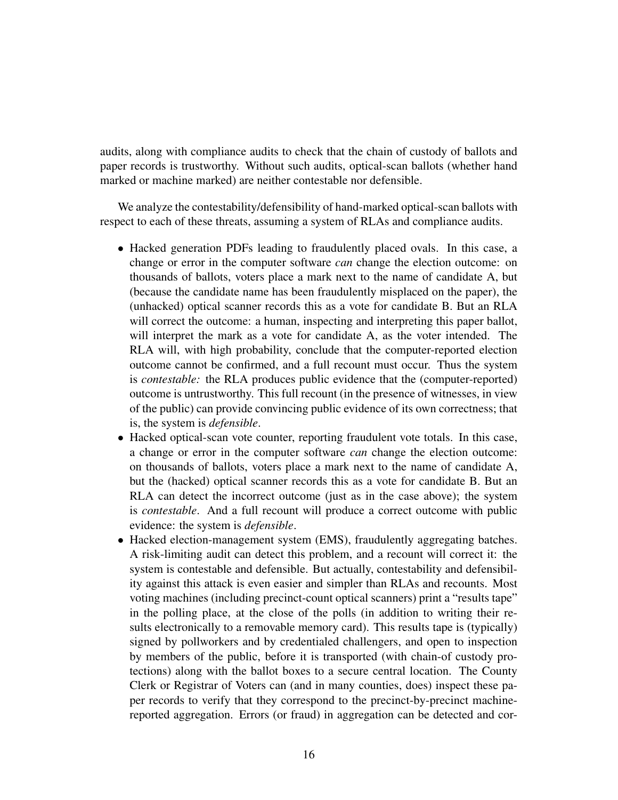audits, along with compliance audits to check that the chain of custody of ballots and paper records is trustworthy. Without such audits, optical-scan ballots (whether hand marked or machine marked) are neither contestable nor defensible.

We analyze the contestability/defensibility of hand-marked optical-scan ballots with respect to each of these threats, assuming a system of RLAs and compliance audits.

- Hacked generation PDFs leading to fraudulently placed ovals. In this case, a change or error in the computer software *can* change the election outcome: on thousands of ballots, voters place a mark next to the name of candidate A, but (because the candidate name has been fraudulently misplaced on the paper), the (unhacked) optical scanner records this as a vote for candidate B. But an RLA will correct the outcome: a human, inspecting and interpreting this paper ballot, will interpret the mark as a vote for candidate A, as the voter intended. The RLA will, with high probability, conclude that the computer-reported election outcome cannot be confirmed, and a full recount must occur. Thus the system is *contestable:* the RLA produces public evidence that the (computer-reported) outcome is untrustworthy. This full recount (in the presence of witnesses, in view of the public) can provide convincing public evidence of its own correctness; that is, the system is *defensible*.
- Hacked optical-scan vote counter, reporting fraudulent vote totals. In this case, a change or error in the computer software *can* change the election outcome: on thousands of ballots, voters place a mark next to the name of candidate A, but the (hacked) optical scanner records this as a vote for candidate B. But an RLA can detect the incorrect outcome (just as in the case above); the system is *contestable*. And a full recount will produce a correct outcome with public evidence: the system is *defensible*.
- Hacked election-management system (EMS), fraudulently aggregating batches. A risk-limiting audit can detect this problem, and a recount will correct it: the system is contestable and defensible. But actually, contestability and defensibility against this attack is even easier and simpler than RLAs and recounts. Most voting machines (including precinct-count optical scanners) print a "results tape" in the polling place, at the close of the polls (in addition to writing their results electronically to a removable memory card). This results tape is (typically) signed by pollworkers and by credentialed challengers, and open to inspection by members of the public, before it is transported (with chain-of custody protections) along with the ballot boxes to a secure central location. The County Clerk or Registrar of Voters can (and in many counties, does) inspect these paper records to verify that they correspond to the precinct-by-precinct machinereported aggregation. Errors (or fraud) in aggregation can be detected and cor-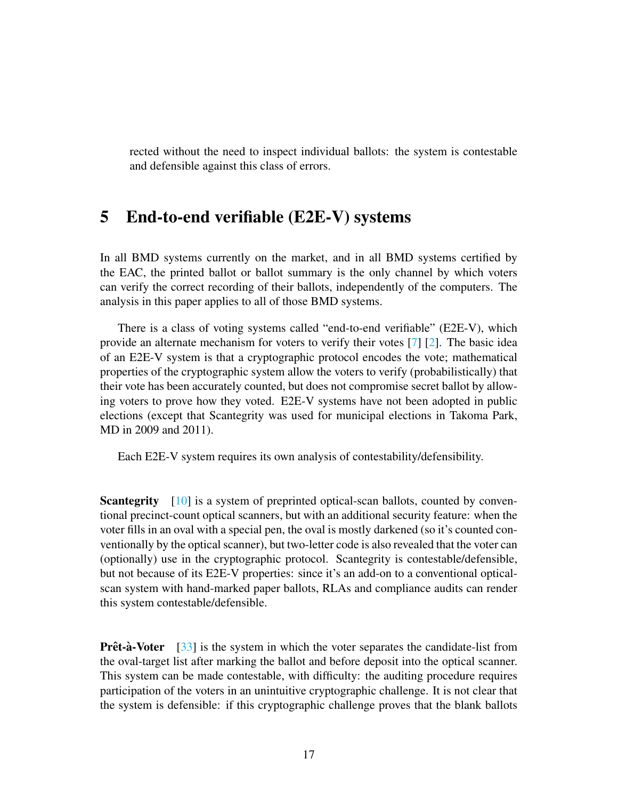rected without the need to inspect individual ballots: the system is contestable and defensible against this class of errors.

#### 5 End-to-end verifiable (E2E-V) systems

In all BMD systems currently on the market, and in all BMD systems certified by the EAC, the printed ballot or ballot summary is the only channel by which voters can verify the correct recording of their ballots, independently of the computers. The analysis in this paper applies to all of those BMD systems.

There is a class of voting systems called "end-to-end verifiable" (E2E-V), which provide an alternate mechanism for voters to verify their votes [\[7\]](#page-29-6) [\[2\]](#page-28-0). The basic idea of an E2E-V system is that a cryptographic protocol encodes the vote; mathematical properties of the cryptographic system allow the voters to verify (probabilistically) that their vote has been accurately counted, but does not compromise secret ballot by allowing voters to prove how they voted. E2E-V systems have not been adopted in public elections (except that Scantegrity was used for municipal elections in Takoma Park, MD in 2009 and 2011).

Each E2E-V system requires its own analysis of contestability/defensibility.

**Scantegrity** [\[10\]](#page-29-7) is a system of preprinted optical-scan ballots, counted by conventional precinct-count optical scanners, but with an additional security feature: when the voter fills in an oval with a special pen, the oval is mostly darkened (so it's counted conventionally by the optical scanner), but two-letter code is also revealed that the voter can (optionally) use in the cryptographic protocol. Scantegrity is contestable/defensible, but not because of its E2E-V properties: since it's an add-on to a conventional opticalscan system with hand-marked paper ballots, RLAs and compliance audits can render this system contestable/defensible.

**Prêt-à-Voter** [\[33\]](#page-31-8) is the system in which the voter separates the candidate-list from the oval-target list after marking the ballot and before deposit into the optical scanner. This system can be made contestable, with difficulty: the auditing procedure requires participation of the voters in an unintuitive cryptographic challenge. It is not clear that the system is defensible: if this cryptographic challenge proves that the blank ballots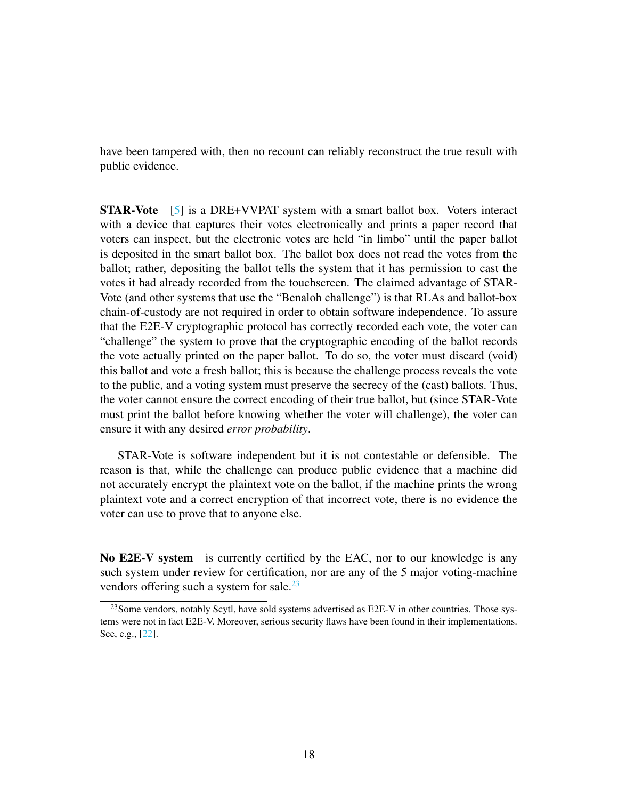have been tampered with, then no recount can reliably reconstruct the true result with public evidence.

STAR-Vote [\[5\]](#page-29-8) is a DRE+VVPAT system with a smart ballot box. Voters interact with a device that captures their votes electronically and prints a paper record that voters can inspect, but the electronic votes are held "in limbo" until the paper ballot is deposited in the smart ballot box. The ballot box does not read the votes from the ballot; rather, depositing the ballot tells the system that it has permission to cast the votes it had already recorded from the touchscreen. The claimed advantage of STAR-Vote (and other systems that use the "Benaloh challenge") is that RLAs and ballot-box chain-of-custody are not required in order to obtain software independence. To assure that the E2E-V cryptographic protocol has correctly recorded each vote, the voter can "challenge" the system to prove that the cryptographic encoding of the ballot records the vote actually printed on the paper ballot. To do so, the voter must discard (void) this ballot and vote a fresh ballot; this is because the challenge process reveals the vote to the public, and a voting system must preserve the secrecy of the (cast) ballots. Thus, the voter cannot ensure the correct encoding of their true ballot, but (since STAR-Vote must print the ballot before knowing whether the voter will challenge), the voter can ensure it with any desired *error probability*.

STAR-Vote is software independent but it is not contestable or defensible. The reason is that, while the challenge can produce public evidence that a machine did not accurately encrypt the plaintext vote on the ballot, if the machine prints the wrong plaintext vote and a correct encryption of that incorrect vote, there is no evidence the voter can use to prove that to anyone else.

No E2E-V system is currently certified by the EAC, nor to our knowledge is any such system under review for certification, nor are any of the 5 major voting-machine vendors offering such a system for sale. $^{23}$  $^{23}$  $^{23}$ 

<span id="page-17-0"></span><sup>&</sup>lt;sup>23</sup> Some vendors, notably Scytl, have sold systems advertised as E2E-V in other countries. Those systems were not in fact E2E-V. Moreover, serious security flaws have been found in their implementations. See, e.g., [\[22\]](#page-30-10).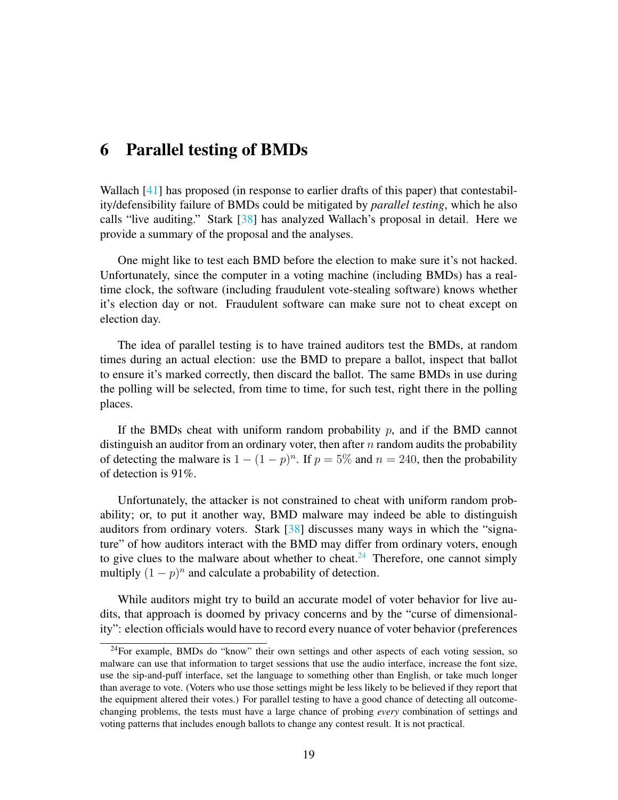#### <span id="page-18-0"></span>6 Parallel testing of BMDs

Wallach [\[41\]](#page-32-3) has proposed (in response to earlier drafts of this paper) that contestability/defensibility failure of BMDs could be mitigated by *parallel testing*, which he also calls "live auditing." Stark [\[38\]](#page-32-4) has analyzed Wallach's proposal in detail. Here we provide a summary of the proposal and the analyses.

One might like to test each BMD before the election to make sure it's not hacked. Unfortunately, since the computer in a voting machine (including BMDs) has a realtime clock, the software (including fraudulent vote-stealing software) knows whether it's election day or not. Fraudulent software can make sure not to cheat except on election day.

The idea of parallel testing is to have trained auditors test the BMDs, at random times during an actual election: use the BMD to prepare a ballot, inspect that ballot to ensure it's marked correctly, then discard the ballot. The same BMDs in use during the polling will be selected, from time to time, for such test, right there in the polling places.

If the BMDs cheat with uniform random probability  $p$ , and if the BMD cannot distinguish an auditor from an ordinary voter, then after  $n$  random audits the probability of detecting the malware is  $1 - (1 - p)^n$ . If  $p = 5\%$  and  $n = 240$ , then the probability of detection is 91%.

Unfortunately, the attacker is not constrained to cheat with uniform random probability; or, to put it another way, BMD malware may indeed be able to distinguish auditors from ordinary voters. Stark [\[38\]](#page-32-4) discusses many ways in which the "signature" of how auditors interact with the BMD may differ from ordinary voters, enough to give clues to the malware about whether to cheat.<sup>[24](#page-18-1)</sup> Therefore, one cannot simply multiply  $(1-p)^n$  and calculate a probability of detection.

While auditors might try to build an accurate model of voter behavior for live audits, that approach is doomed by privacy concerns and by the "curse of dimensionality": election officials would have to record every nuance of voter behavior (preferences

<span id="page-18-1"></span> $24$ For example, BMDs do "know" their own settings and other aspects of each voting session, so malware can use that information to target sessions that use the audio interface, increase the font size, use the sip-and-puff interface, set the language to something other than English, or take much longer than average to vote. (Voters who use those settings might be less likely to be believed if they report that the equipment altered their votes.) For parallel testing to have a good chance of detecting all outcomechanging problems, the tests must have a large chance of probing *every* combination of settings and voting patterns that includes enough ballots to change any contest result. It is not practical.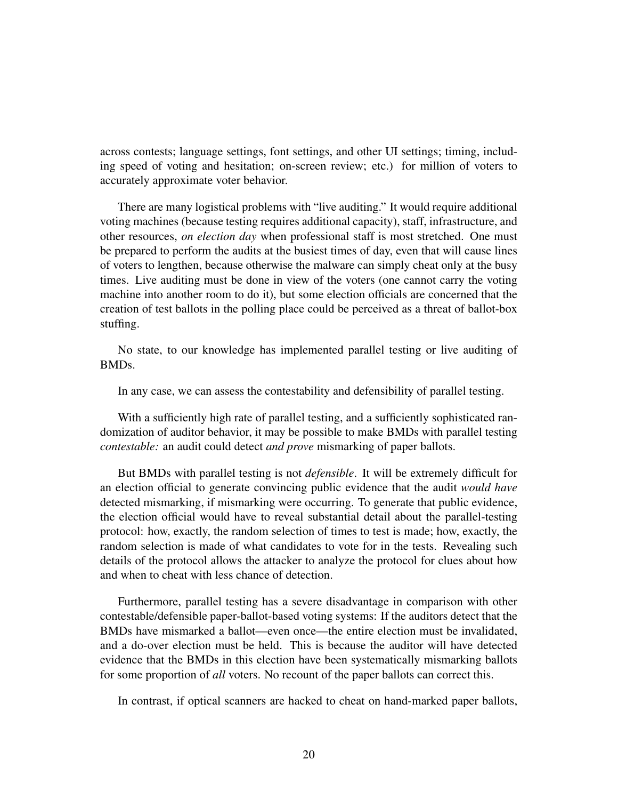across contests; language settings, font settings, and other UI settings; timing, including speed of voting and hesitation; on-screen review; etc.) for million of voters to accurately approximate voter behavior.

There are many logistical problems with "live auditing." It would require additional voting machines (because testing requires additional capacity), staff, infrastructure, and other resources, *on election day* when professional staff is most stretched. One must be prepared to perform the audits at the busiest times of day, even that will cause lines of voters to lengthen, because otherwise the malware can simply cheat only at the busy times. Live auditing must be done in view of the voters (one cannot carry the voting machine into another room to do it), but some election officials are concerned that the creation of test ballots in the polling place could be perceived as a threat of ballot-box stuffing.

No state, to our knowledge has implemented parallel testing or live auditing of BMDs.

In any case, we can assess the contestability and defensibility of parallel testing.

With a sufficiently high rate of parallel testing, and a sufficiently sophisticated randomization of auditor behavior, it may be possible to make BMDs with parallel testing *contestable:* an audit could detect *and prove* mismarking of paper ballots.

But BMDs with parallel testing is not *defensible*. It will be extremely difficult for an election official to generate convincing public evidence that the audit *would have* detected mismarking, if mismarking were occurring. To generate that public evidence, the election official would have to reveal substantial detail about the parallel-testing protocol: how, exactly, the random selection of times to test is made; how, exactly, the random selection is made of what candidates to vote for in the tests. Revealing such details of the protocol allows the attacker to analyze the protocol for clues about how and when to cheat with less chance of detection.

Furthermore, parallel testing has a severe disadvantage in comparison with other contestable/defensible paper-ballot-based voting systems: If the auditors detect that the BMDs have mismarked a ballot—even once—the entire election must be invalidated, and a do-over election must be held. This is because the auditor will have detected evidence that the BMDs in this election have been systematically mismarking ballots for some proportion of *all* voters. No recount of the paper ballots can correct this.

In contrast, if optical scanners are hacked to cheat on hand-marked paper ballots,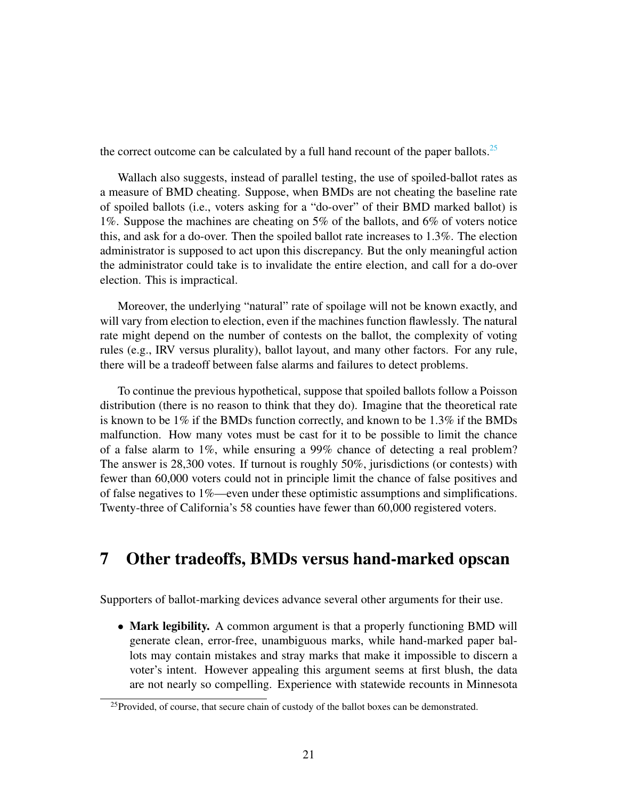the correct outcome can be calculated by a full hand recount of the paper ballots.<sup>[25](#page-20-0)</sup>

Wallach also suggests, instead of parallel testing, the use of spoiled-ballot rates as a measure of BMD cheating. Suppose, when BMDs are not cheating the baseline rate of spoiled ballots (i.e., voters asking for a "do-over" of their BMD marked ballot) is 1%. Suppose the machines are cheating on 5% of the ballots, and 6% of voters notice this, and ask for a do-over. Then the spoiled ballot rate increases to 1.3%. The election administrator is supposed to act upon this discrepancy. But the only meaningful action the administrator could take is to invalidate the entire election, and call for a do-over election. This is impractical.

Moreover, the underlying "natural" rate of spoilage will not be known exactly, and will vary from election to election, even if the machines function flawlessly. The natural rate might depend on the number of contests on the ballot, the complexity of voting rules (e.g., IRV versus plurality), ballot layout, and many other factors. For any rule, there will be a tradeoff between false alarms and failures to detect problems.

To continue the previous hypothetical, suppose that spoiled ballots follow a Poisson distribution (there is no reason to think that they do). Imagine that the theoretical rate is known to be  $1\%$  if the BMDs function correctly, and known to be  $1.3\%$  if the BMDs malfunction. How many votes must be cast for it to be possible to limit the chance of a false alarm to 1%, while ensuring a 99% chance of detecting a real problem? The answer is 28,300 votes. If turnout is roughly 50%, jurisdictions (or contests) with fewer than 60,000 voters could not in principle limit the chance of false positives and of false negatives to 1%—even under these optimistic assumptions and simplifications. Twenty-three of California's 58 counties have fewer than 60,000 registered voters.

# 7 Other tradeoffs, BMDs versus hand-marked opscan

Supporters of ballot-marking devices advance several other arguments for their use.

• Mark legibility. A common argument is that a properly functioning BMD will generate clean, error-free, unambiguous marks, while hand-marked paper ballots may contain mistakes and stray marks that make it impossible to discern a voter's intent. However appealing this argument seems at first blush, the data are not nearly so compelling. Experience with statewide recounts in Minnesota

<span id="page-20-0"></span><sup>&</sup>lt;sup>25</sup>Provided, of course, that secure chain of custody of the ballot boxes can be demonstrated.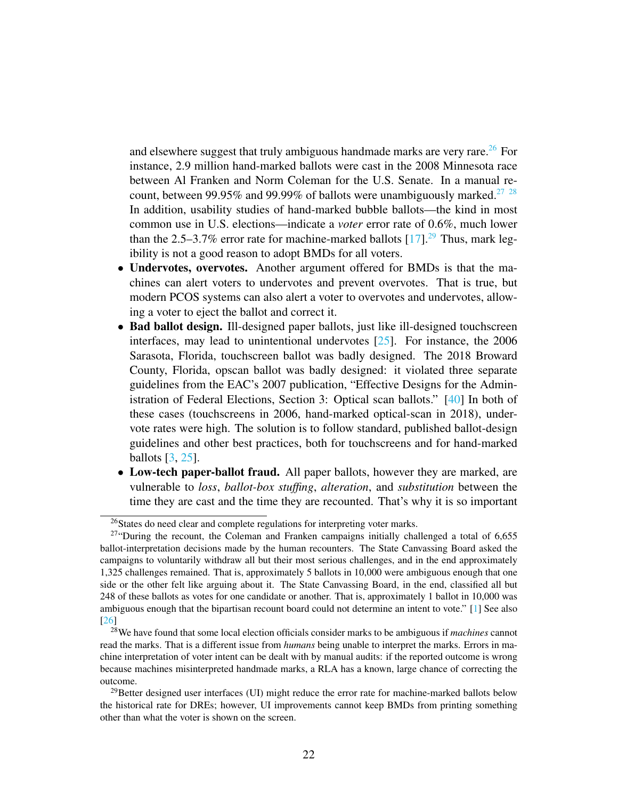and elsewhere suggest that truly ambiguous handmade marks are very rare.<sup>[26](#page-21-0)</sup> For instance, 2.9 million hand-marked ballots were cast in the 2008 Minnesota race between Al Franken and Norm Coleman for the U.S. Senate. In a manual re-count, between 99.95% and 99.99% of ballots were unambiguously marked.<sup>[27](#page-21-1)</sup> <sup>[28](#page-21-2)</sup> In addition, usability studies of hand-marked bubble ballots—the kind in most common use in U.S. elections—indicate a *voter* error rate of 0.6%, much lower than the 2.5–3.7% error rate for machine-marked ballots  $[17]$ .<sup>[29](#page-21-3)</sup> Thus, mark legibility is not a good reason to adopt BMDs for all voters.

- Undervotes, overvotes. Another argument offered for BMDs is that the machines can alert voters to undervotes and prevent overvotes. That is true, but modern PCOS systems can also alert a voter to overvotes and undervotes, allowing a voter to eject the ballot and correct it.
- Bad ballot design. Ill-designed paper ballots, just like ill-designed touchscreen interfaces, may lead to unintentional undervotes [\[25\]](#page-30-11). For instance, the 2006 Sarasota, Florida, touchscreen ballot was badly designed. The 2018 Broward County, Florida, opscan ballot was badly designed: it violated three separate guidelines from the EAC's 2007 publication, "Effective Designs for the Administration of Federal Elections, Section 3: Optical scan ballots." [\[40\]](#page-32-5) In both of these cases (touchscreens in 2006, hand-marked optical-scan in 2018), undervote rates were high. The solution is to follow standard, published ballot-design guidelines and other best practices, both for touchscreens and for hand-marked ballots [\[3,](#page-28-1) [25\]](#page-30-11).
- Low-tech paper-ballot fraud. All paper ballots, however they are marked, are vulnerable to *loss*, *ballot-box stuffing*, *alteration*, and *substitution* between the time they are cast and the time they are recounted. That's why it is so important

<span id="page-21-1"></span><span id="page-21-0"></span><sup>26</sup>States do need clear and complete regulations for interpreting voter marks.

 $27$ "During the recount, the Coleman and Franken campaigns initially challenged a total of 6,655 ballot-interpretation decisions made by the human recounters. The State Canvassing Board asked the campaigns to voluntarily withdraw all but their most serious challenges, and in the end approximately 1,325 challenges remained. That is, approximately 5 ballots in 10,000 were ambiguous enough that one side or the other felt like arguing about it. The State Canvassing Board, in the end, classified all but 248 of these ballots as votes for one candidate or another. That is, approximately 1 ballot in 10,000 was ambiguous enough that the bipartisan recount board could not determine an intent to vote." [\[1\]](#page-28-2) See also [\[26\]](#page-31-9)

<span id="page-21-2"></span><sup>28</sup>We have found that some local election officials consider marks to be ambiguous if *machines* cannot read the marks. That is a different issue from *humans* being unable to interpret the marks. Errors in machine interpretation of voter intent can be dealt with by manual audits: if the reported outcome is wrong because machines misinterpreted handmade marks, a RLA has a known, large chance of correcting the outcome.

<span id="page-21-3"></span><sup>&</sup>lt;sup>29</sup>Better designed user interfaces (UI) might reduce the error rate for machine-marked ballots below the historical rate for DREs; however, UI improvements cannot keep BMDs from printing something other than what the voter is shown on the screen.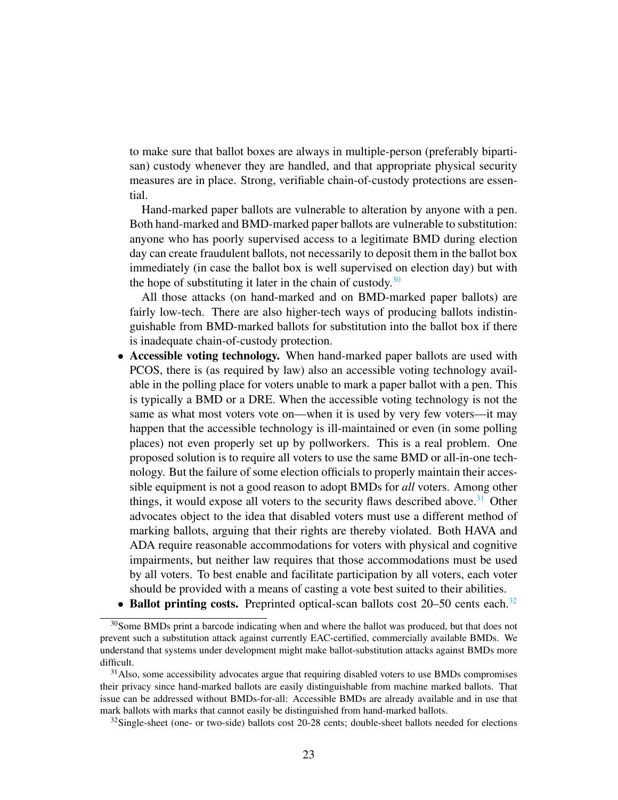to make sure that ballot boxes are always in multiple-person (preferably bipartisan) custody whenever they are handled, and that appropriate physical security measures are in place. Strong, verifiable chain-of-custody protections are essential.

Hand-marked paper ballots are vulnerable to alteration by anyone with a pen. Both hand-marked and BMD-marked paper ballots are vulnerable to substitution: anyone who has poorly supervised access to a legitimate BMD during election day can create fraudulent ballots, not necessarily to deposit them in the ballot box immediately (in case the ballot box is well supervised on election day) but with the hope of substituting it later in the chain of custody.<sup>[30](#page-22-0)</sup>

All those attacks (on hand-marked and on BMD-marked paper ballots) are fairly low-tech. There are also higher-tech ways of producing ballots indistinguishable from BMD-marked ballots for substitution into the ballot box if there is inadequate chain-of-custody protection.

- Accessible voting technology. When hand-marked paper ballots are used with PCOS, there is (as required by law) also an accessible voting technology available in the polling place for voters unable to mark a paper ballot with a pen. This is typically a BMD or a DRE. When the accessible voting technology is not the same as what most voters vote on—when it is used by very few voters—it may happen that the accessible technology is ill-maintained or even (in some polling places) not even properly set up by pollworkers. This is a real problem. One proposed solution is to require all voters to use the same BMD or all-in-one technology. But the failure of some election officials to properly maintain their accessible equipment is not a good reason to adopt BMDs for *all* voters. Among other things, it would expose all voters to the security flaws described above.<sup>[31](#page-22-1)</sup> Other advocates object to the idea that disabled voters must use a different method of marking ballots, arguing that their rights are thereby violated. Both HAVA and ADA require reasonable accommodations for voters with physical and cognitive impairments, but neither law requires that those accommodations must be used by all voters. To best enable and facilitate participation by all voters, each voter should be provided with a means of casting a vote best suited to their abilities.
- <span id="page-22-0"></span>• Ballot printing costs. Preprinted optical-scan ballots cost  $20-50$  cents each.<sup>[32](#page-22-2)</sup>

<sup>&</sup>lt;sup>30</sup>Some BMDs print a barcode indicating when and where the ballot was produced, but that does not prevent such a substitution attack against currently EAC-certified, commercially available BMDs. We understand that systems under development might make ballot-substitution attacks against BMDs more difficult.

<span id="page-22-1"></span><sup>&</sup>lt;sup>31</sup>Also, some accessibility advocates argue that requiring disabled voters to use BMDs compromises their privacy since hand-marked ballots are easily distinguishable from machine marked ballots. That issue can be addressed without BMDs-for-all: Accessible BMDs are already available and in use that mark ballots with marks that cannot easily be distinguished from hand-marked ballots.

<span id="page-22-2"></span> $32$ Single-sheet (one- or two-side) ballots cost 20-28 cents; double-sheet ballots needed for elections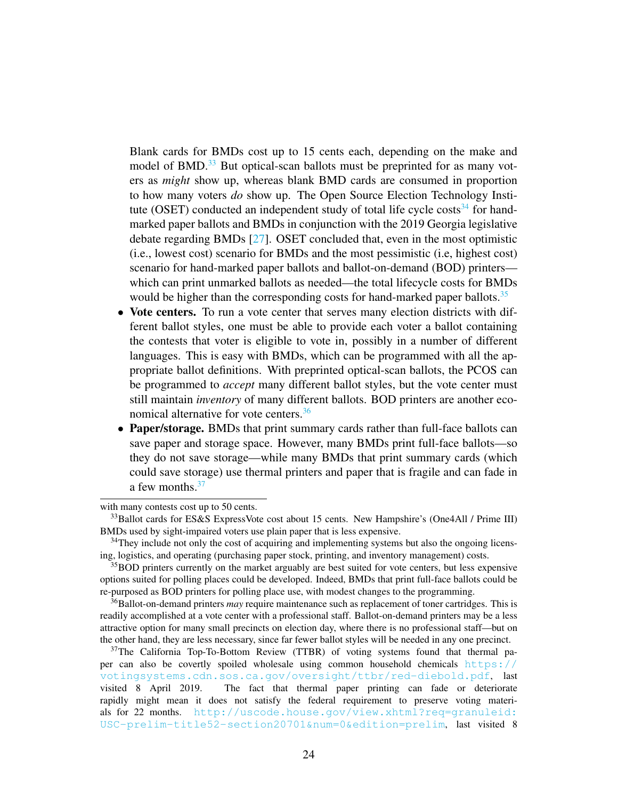Blank cards for BMDs cost up to 15 cents each, depending on the make and model of BMD.<sup>[33](#page-23-0)</sup> But optical-scan ballots must be preprinted for as many voters as *might* show up, whereas blank BMD cards are consumed in proportion to how many voters *do* show up. The Open Source Election Technology Insti-tute (OSET) conducted an independent study of total life cycle costs<sup>[34](#page-23-1)</sup> for handmarked paper ballots and BMDs in conjunction with the 2019 Georgia legislative debate regarding BMDs [\[27\]](#page-31-10). OSET concluded that, even in the most optimistic (i.e., lowest cost) scenario for BMDs and the most pessimistic (i.e, highest cost) scenario for hand-marked paper ballots and ballot-on-demand (BOD) printers which can print unmarked ballots as needed—the total lifecycle costs for BMDs would be higher than the corresponding costs for hand-marked paper ballots.<sup>[35](#page-23-2)</sup>

- Vote centers. To run a vote center that serves many election districts with different ballot styles, one must be able to provide each voter a ballot containing the contests that voter is eligible to vote in, possibly in a number of different languages. This is easy with BMDs, which can be programmed with all the appropriate ballot definitions. With preprinted optical-scan ballots, the PCOS can be programmed to *accept* many different ballot styles, but the vote center must still maintain *inventory* of many different ballots. BOD printers are another eco-nomical alternative for vote centers.<sup>[36](#page-23-3)</sup>
- Paper/storage. BMDs that print summary cards rather than full-face ballots can save paper and storage space. However, many BMDs print full-face ballots—so they do not save storage—while many BMDs that print summary cards (which could save storage) use thermal printers and paper that is fragile and can fade in a few months. $37$

with many contests cost up to 50 cents.

<span id="page-23-0"></span><sup>&</sup>lt;sup>33</sup>Ballot cards for ES&S ExpressVote cost about 15 cents. New Hampshire's (One4All / Prime III) BMDs used by sight-impaired voters use plain paper that is less expensive.

<span id="page-23-1"></span><sup>&</sup>lt;sup>34</sup>They include not only the cost of acquiring and implementing systems but also the ongoing licensing, logistics, and operating (purchasing paper stock, printing, and inventory management) costs.

<span id="page-23-2"></span> $35$ BOD printers currently on the market arguably are best suited for vote centers, but less expensive options suited for polling places could be developed. Indeed, BMDs that print full-face ballots could be re-purposed as BOD printers for polling place use, with modest changes to the programming.

<span id="page-23-3"></span><sup>36</sup>Ballot-on-demand printers *may* require maintenance such as replacement of toner cartridges. This is readily accomplished at a vote center with a professional staff. Ballot-on-demand printers may be a less attractive option for many small precincts on election day, where there is no professional staff—but on the other hand, they are less necessary, since far fewer ballot styles will be needed in any one precinct.

<span id="page-23-4"></span><sup>&</sup>lt;sup>37</sup>The California Top-To-Bottom Review (TTBR) of voting systems found that thermal paper can also be covertly spoiled wholesale using common household chemicals [https://](https://votingsystems.cdn.sos.ca.gov/oversight/ttbr/red-diebold.pdf) [votingsystems.cdn.sos.ca.gov/oversight/ttbr/red-diebold.pdf](https://votingsystems.cdn.sos.ca.gov/oversight/ttbr/red-diebold.pdf), last visited 8 April 2019. The fact that thermal paper printing can fade or deteriorate rapidly might mean it does not satisfy the federal requirement to preserve voting materials for 22 months. [http://uscode.house.gov/view.xhtml?req=granuleid:](http://uscode.house.gov/view.xhtml?req=granuleid:USC-prelim-title52-section20701&num=0&edition=prelim) [USC-prelim-title52-section20701&num=0&edition=prelim](http://uscode.house.gov/view.xhtml?req=granuleid:USC-prelim-title52-section20701&num=0&edition=prelim), last visited 8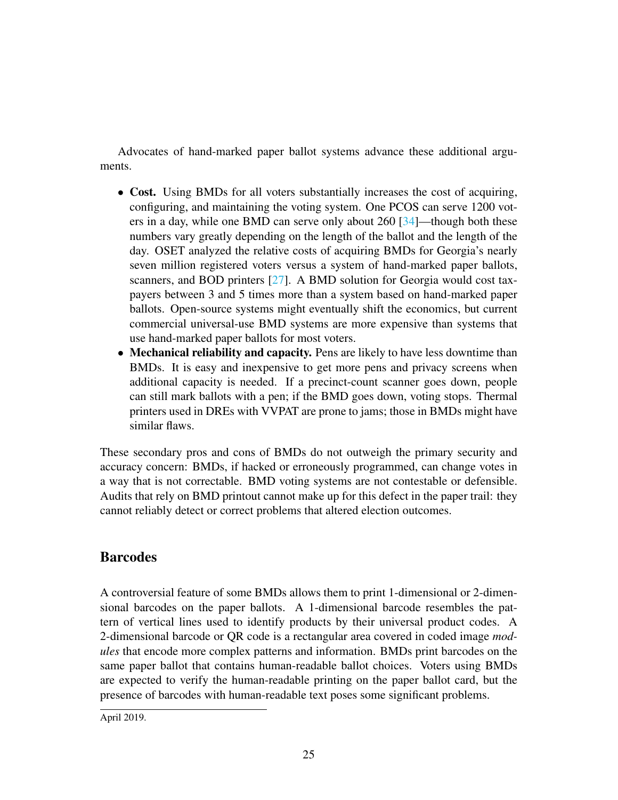Advocates of hand-marked paper ballot systems advance these additional arguments.

- Cost. Using BMDs for all voters substantially increases the cost of acquiring, configuring, and maintaining the voting system. One PCOS can serve 1200 voters in a day, while one BMD can serve only about 260 [\[34\]](#page-31-6)—though both these numbers vary greatly depending on the length of the ballot and the length of the day. OSET analyzed the relative costs of acquiring BMDs for Georgia's nearly seven million registered voters versus a system of hand-marked paper ballots, scanners, and BOD printers [\[27\]](#page-31-10). A BMD solution for Georgia would cost taxpayers between 3 and 5 times more than a system based on hand-marked paper ballots. Open-source systems might eventually shift the economics, but current commercial universal-use BMD systems are more expensive than systems that use hand-marked paper ballots for most voters.
- Mechanical reliability and capacity. Pens are likely to have less downtime than BMDs. It is easy and inexpensive to get more pens and privacy screens when additional capacity is needed. If a precinct-count scanner goes down, people can still mark ballots with a pen; if the BMD goes down, voting stops. Thermal printers used in DREs with VVPAT are prone to jams; those in BMDs might have similar flaws.

These secondary pros and cons of BMDs do not outweigh the primary security and accuracy concern: BMDs, if hacked or erroneously programmed, can change votes in a way that is not correctable. BMD voting systems are not contestable or defensible. Audits that rely on BMD printout cannot make up for this defect in the paper trail: they cannot reliably detect or correct problems that altered election outcomes.

#### **Barcodes**

A controversial feature of some BMDs allows them to print 1-dimensional or 2-dimensional barcodes on the paper ballots. A 1-dimensional barcode resembles the pattern of vertical lines used to identify products by their universal product codes. A 2-dimensional barcode or QR code is a rectangular area covered in coded image *modules* that encode more complex patterns and information. BMDs print barcodes on the same paper ballot that contains human-readable ballot choices. Voters using BMDs are expected to verify the human-readable printing on the paper ballot card, but the presence of barcodes with human-readable text poses some significant problems.

April 2019.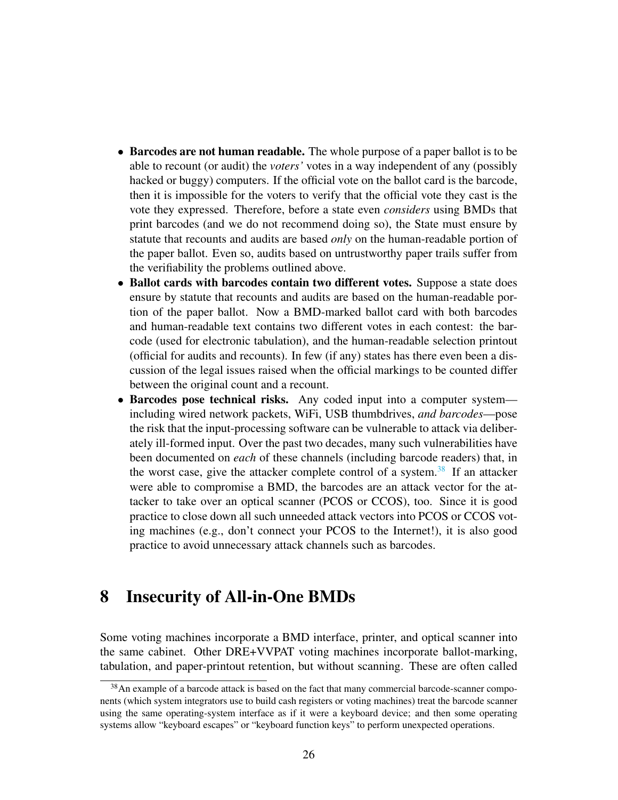- Barcodes are not human readable. The whole purpose of a paper ballot is to be able to recount (or audit) the *voters'* votes in a way independent of any (possibly hacked or buggy) computers. If the official vote on the ballot card is the barcode, then it is impossible for the voters to verify that the official vote they cast is the vote they expressed. Therefore, before a state even *considers* using BMDs that print barcodes (and we do not recommend doing so), the State must ensure by statute that recounts and audits are based *only* on the human-readable portion of the paper ballot. Even so, audits based on untrustworthy paper trails suffer from the verifiability the problems outlined above.
- Ballot cards with barcodes contain two different votes. Suppose a state does ensure by statute that recounts and audits are based on the human-readable portion of the paper ballot. Now a BMD-marked ballot card with both barcodes and human-readable text contains two different votes in each contest: the barcode (used for electronic tabulation), and the human-readable selection printout (official for audits and recounts). In few (if any) states has there even been a discussion of the legal issues raised when the official markings to be counted differ between the original count and a recount.
- Barcodes pose technical risks. Any coded input into a computer system including wired network packets, WiFi, USB thumbdrives, *and barcodes*—pose the risk that the input-processing software can be vulnerable to attack via deliberately ill-formed input. Over the past two decades, many such vulnerabilities have been documented on *each* of these channels (including barcode readers) that, in the worst case, give the attacker complete control of a system. $38$  If an attacker were able to compromise a BMD, the barcodes are an attack vector for the attacker to take over an optical scanner (PCOS or CCOS), too. Since it is good practice to close down all such unneeded attack vectors into PCOS or CCOS voting machines (e.g., don't connect your PCOS to the Internet!), it is also good practice to avoid unnecessary attack channels such as barcodes.

### 8 Insecurity of All-in-One BMDs

Some voting machines incorporate a BMD interface, printer, and optical scanner into the same cabinet. Other DRE+VVPAT voting machines incorporate ballot-marking, tabulation, and paper-printout retention, but without scanning. These are often called

<span id="page-25-0"></span><sup>38</sup>An example of a barcode attack is based on the fact that many commercial barcode-scanner components (which system integrators use to build cash registers or voting machines) treat the barcode scanner using the same operating-system interface as if it were a keyboard device; and then some operating systems allow "keyboard escapes" or "keyboard function keys" to perform unexpected operations.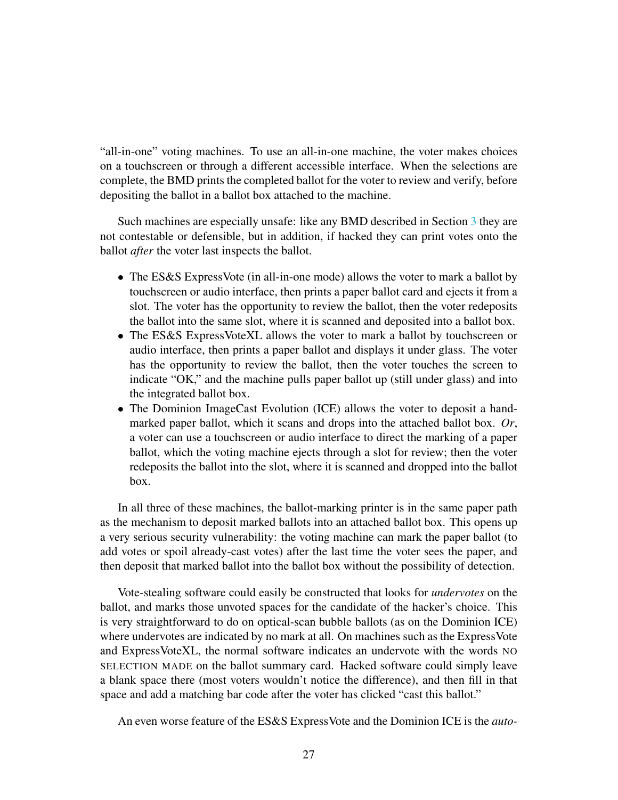"all-in-one" voting machines. To use an all-in-one machine, the voter makes choices on a touchscreen or through a different accessible interface. When the selections are complete, the BMD prints the completed ballot for the voter to review and verify, before depositing the ballot in a ballot box attached to the machine.

Such machines are especially unsafe: like any BMD described in Section [3](#page-9-0) they are not contestable or defensible, but in addition, if hacked they can print votes onto the ballot *after* the voter last inspects the ballot.

- The ES&S ExpressVote (in all-in-one mode) allows the voter to mark a ballot by touchscreen or audio interface, then prints a paper ballot card and ejects it from a slot. The voter has the opportunity to review the ballot, then the voter redeposits the ballot into the same slot, where it is scanned and deposited into a ballot box.
- The ES&S ExpressVoteXL allows the voter to mark a ballot by touchscreen or audio interface, then prints a paper ballot and displays it under glass. The voter has the opportunity to review the ballot, then the voter touches the screen to indicate "OK," and the machine pulls paper ballot up (still under glass) and into the integrated ballot box.
- The Dominion ImageCast Evolution (ICE) allows the voter to deposit a handmarked paper ballot, which it scans and drops into the attached ballot box. *Or*, a voter can use a touchscreen or audio interface to direct the marking of a paper ballot, which the voting machine ejects through a slot for review; then the voter redeposits the ballot into the slot, where it is scanned and dropped into the ballot box.

In all three of these machines, the ballot-marking printer is in the same paper path as the mechanism to deposit marked ballots into an attached ballot box. This opens up a very serious security vulnerability: the voting machine can mark the paper ballot (to add votes or spoil already-cast votes) after the last time the voter sees the paper, and then deposit that marked ballot into the ballot box without the possibility of detection.

Vote-stealing software could easily be constructed that looks for *undervotes* on the ballot, and marks those unvoted spaces for the candidate of the hacker's choice. This is very straightforward to do on optical-scan bubble ballots (as on the Dominion ICE) where undervotes are indicated by no mark at all. On machines such as the ExpressVote and ExpressVoteXL, the normal software indicates an undervote with the words NO SELECTION MADE on the ballot summary card. Hacked software could simply leave a blank space there (most voters wouldn't notice the difference), and then fill in that space and add a matching bar code after the voter has clicked "cast this ballot."

An even worse feature of the ES&S ExpressVote and the Dominion ICE is the *auto-*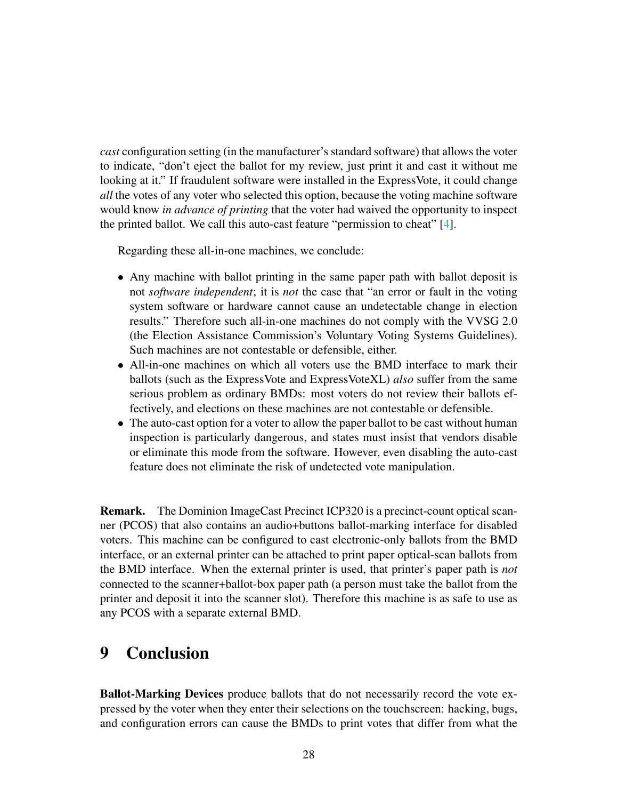*cast* configuration setting (in the manufacturer's standard software) that allows the voter to indicate, "don't eject the ballot for my review, just print it and cast it without me looking at it." If fraudulent software were installed in the ExpressVote, it could change *all* the votes of any voter who selected this option, because the voting machine software would know *in advance of printing* that the voter had waived the opportunity to inspect the printed ballot. We call this auto-cast feature "permission to cheat" [\[4\]](#page-29-9).

Regarding these all-in-one machines, we conclude:

- Any machine with ballot printing in the same paper path with ballot deposit is not *software independent*; it is *not* the case that "an error or fault in the voting system software or hardware cannot cause an undetectable change in election results." Therefore such all-in-one machines do not comply with the VVSG 2.0 (the Election Assistance Commission's Voluntary Voting Systems Guidelines). Such machines are not contestable or defensible, either.
- All-in-one machines on which all voters use the BMD interface to mark their ballots (such as the ExpressVote and ExpressVoteXL) *also* suffer from the same serious problem as ordinary BMDs: most voters do not review their ballots effectively, and elections on these machines are not contestable or defensible.
- The auto-cast option for a voter to allow the paper ballot to be cast without human inspection is particularly dangerous, and states must insist that vendors disable or eliminate this mode from the software. However, even disabling the auto-cast feature does not eliminate the risk of undetected vote manipulation.

Remark. The Dominion ImageCast Precinct ICP320 is a precinct-count optical scanner (PCOS) that also contains an audio+buttons ballot-marking interface for disabled voters. This machine can be configured to cast electronic-only ballots from the BMD interface, or an external printer can be attached to print paper optical-scan ballots from the BMD interface. When the external printer is used, that printer's paper path is *not* connected to the scanner+ballot-box paper path (a person must take the ballot from the printer and deposit it into the scanner slot). Therefore this machine is as safe to use as any PCOS with a separate external BMD.

# 9 Conclusion

Ballot-Marking Devices produce ballots that do not necessarily record the vote expressed by the voter when they enter their selections on the touchscreen: hacking, bugs, and configuration errors can cause the BMDs to print votes that differ from what the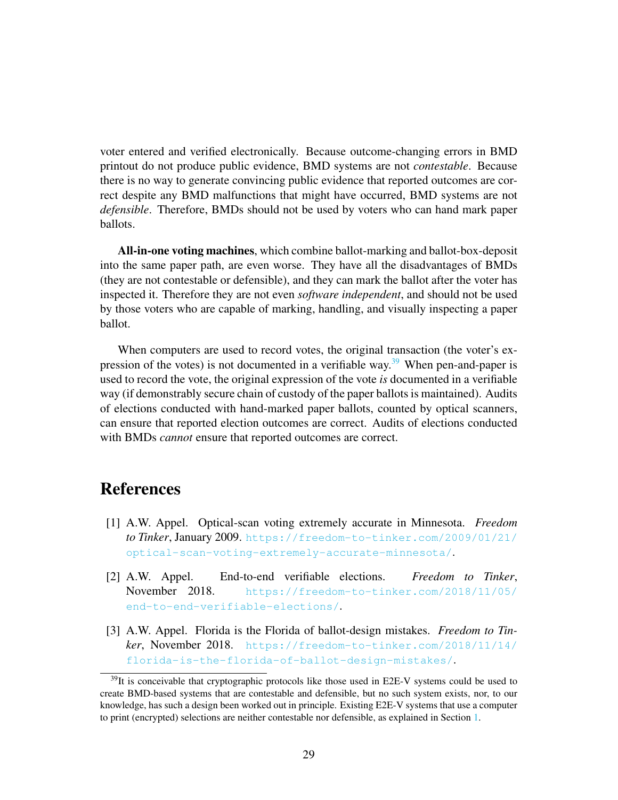voter entered and verified electronically. Because outcome-changing errors in BMD printout do not produce public evidence, BMD systems are not *contestable*. Because there is no way to generate convincing public evidence that reported outcomes are correct despite any BMD malfunctions that might have occurred, BMD systems are not *defensible*. Therefore, BMDs should not be used by voters who can hand mark paper ballots.

All-in-one voting machines, which combine ballot-marking and ballot-box-deposit into the same paper path, are even worse. They have all the disadvantages of BMDs (they are not contestable or defensible), and they can mark the ballot after the voter has inspected it. Therefore they are not even *software independent*, and should not be used by those voters who are capable of marking, handling, and visually inspecting a paper ballot.

When computers are used to record votes, the original transaction (the voter's ex-pression of the votes) is not documented in a verifiable way.<sup>[39](#page-28-3)</sup> When pen-and-paper is used to record the vote, the original expression of the vote *is* documented in a verifiable way (if demonstrably secure chain of custody of the paper ballots is maintained). Audits of elections conducted with hand-marked paper ballots, counted by optical scanners, can ensure that reported election outcomes are correct. Audits of elections conducted with BMDs *cannot* ensure that reported outcomes are correct.

#### References

- <span id="page-28-2"></span>[1] A.W. Appel. Optical-scan voting extremely accurate in Minnesota. *Freedom to Tinker*, January 2009. [https://freedom-to-tinker.com/2009/01/21/](https://freedom-to-tinker.com/2009/01/21/optical-scan-voting-extremely-accurate-minnesota/) [optical-scan-voting-extremely-accurate-minnesota/](https://freedom-to-tinker.com/2009/01/21/optical-scan-voting-extremely-accurate-minnesota/).
- <span id="page-28-0"></span>[2] A.W. Appel. End-to-end verifiable elections. *Freedom to Tinker*, November 2018. [https://freedom-to-tinker.com/2018/11/05/](https://freedom-to-tinker.com/2018/11/05/end-to-end-verifiable-elections/) [end-to-end-verifiable-elections/](https://freedom-to-tinker.com/2018/11/05/end-to-end-verifiable-elections/).
- <span id="page-28-1"></span>[3] A.W. Appel. Florida is the Florida of ballot-design mistakes. *Freedom to Tinker*, November 2018. [https://freedom-to-tinker.com/2018/11/14/](https://freedom-to-tinker.com/2018/11/14/florida-is-the-florida-of-ballot-design-mistakes/) [florida-is-the-florida-of-ballot-design-mistakes/](https://freedom-to-tinker.com/2018/11/14/florida-is-the-florida-of-ballot-design-mistakes/).

<span id="page-28-3"></span><sup>&</sup>lt;sup>39</sup>It is conceivable that cryptographic protocols like those used in E2E-V systems could be used to create BMD-based systems that are contestable and defensible, but no such system exists, nor, to our knowledge, has such a design been worked out in principle. Existing E2E-V systems that use a computer to print (encrypted) selections are neither contestable nor defensible, as explained in Section [1.](#page-1-1)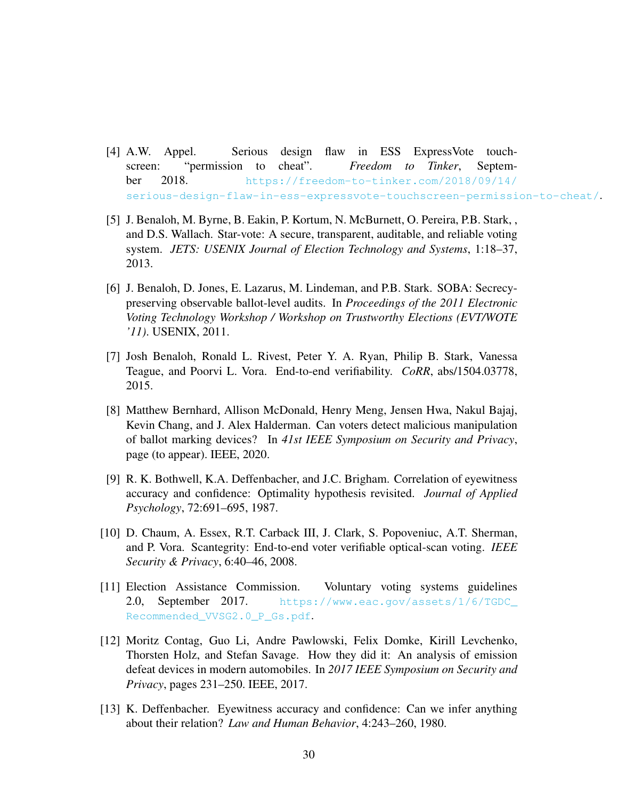- <span id="page-29-9"></span>[4] A.W. Appel. Serious design flaw in ESS ExpressVote touchscreen: "permission to cheat". *Freedom to Tinker*, September 2018. [https://freedom-to-tinker.com/2018/09/14/](https://freedom-to-tinker.com/2018/09/14/serious-design-flaw-in-ess-expressvote-touchscreen-permission-to-cheat/) [serious-design-flaw-in-ess-expressvote-touchscreen-permission-to-cheat/](https://freedom-to-tinker.com/2018/09/14/serious-design-flaw-in-ess-expressvote-touchscreen-permission-to-cheat/).
- <span id="page-29-8"></span>[5] J. Benaloh, M. Byrne, B. Eakin, P. Kortum, N. McBurnett, O. Pereira, P.B. Stark, , and D.S. Wallach. Star-vote: A secure, transparent, auditable, and reliable voting system. *JETS: USENIX Journal of Election Technology and Systems*, 1:18–37, 2013.
- <span id="page-29-1"></span>[6] J. Benaloh, D. Jones, E. Lazarus, M. Lindeman, and P.B. Stark. SOBA: Secrecypreserving observable ballot-level audits. In *Proceedings of the 2011 Electronic Voting Technology Workshop / Workshop on Trustworthy Elections (EVT/WOTE '11)*. USENIX, 2011.
- <span id="page-29-6"></span>[7] Josh Benaloh, Ronald L. Rivest, Peter Y. A. Ryan, Philip B. Stark, Vanessa Teague, and Poorvi L. Vora. End-to-end verifiability. *CoRR*, abs/1504.03778, 2015.
- <span id="page-29-2"></span>[8] Matthew Bernhard, Allison McDonald, Henry Meng, Jensen Hwa, Nakul Bajaj, Kevin Chang, and J. Alex Halderman. Can voters detect malicious manipulation of ballot marking devices? In *41st IEEE Symposium on Security and Privacy*, page (to appear). IEEE, 2020.
- <span id="page-29-3"></span>[9] R. K. Bothwell, K.A. Deffenbacher, and J.C. Brigham. Correlation of eyewitness accuracy and confidence: Optimality hypothesis revisited. *Journal of Applied Psychology*, 72:691–695, 1987.
- <span id="page-29-7"></span>[10] D. Chaum, A. Essex, R.T. Carback III, J. Clark, S. Popoveniuc, A.T. Sherman, and P. Vora. Scantegrity: End-to-end voter verifiable optical-scan voting. *IEEE Security & Privacy*, 6:40–46, 2008.
- <span id="page-29-0"></span>[11] Election Assistance Commission. Voluntary voting systems guidelines 2.0, September 2017. [https://www.eac.gov/assets/1/6/TGDC\\_](https://www.eac.gov/assets/1/6/TGDC_Recommended_VVSG2.0_P_Gs.pdf) [Recommended\\_VVSG2.0\\_P\\_Gs.pdf](https://www.eac.gov/assets/1/6/TGDC_Recommended_VVSG2.0_P_Gs.pdf).
- <span id="page-29-5"></span>[12] Moritz Contag, Guo Li, Andre Pawlowski, Felix Domke, Kirill Levchenko, Thorsten Holz, and Stefan Savage. How they did it: An analysis of emission defeat devices in modern automobiles. In *2017 IEEE Symposium on Security and Privacy*, pages 231–250. IEEE, 2017.
- <span id="page-29-4"></span>[13] K. Deffenbacher. Eyewitness accuracy and confidence: Can we infer anything about their relation? *Law and Human Behavior*, 4:243–260, 1980.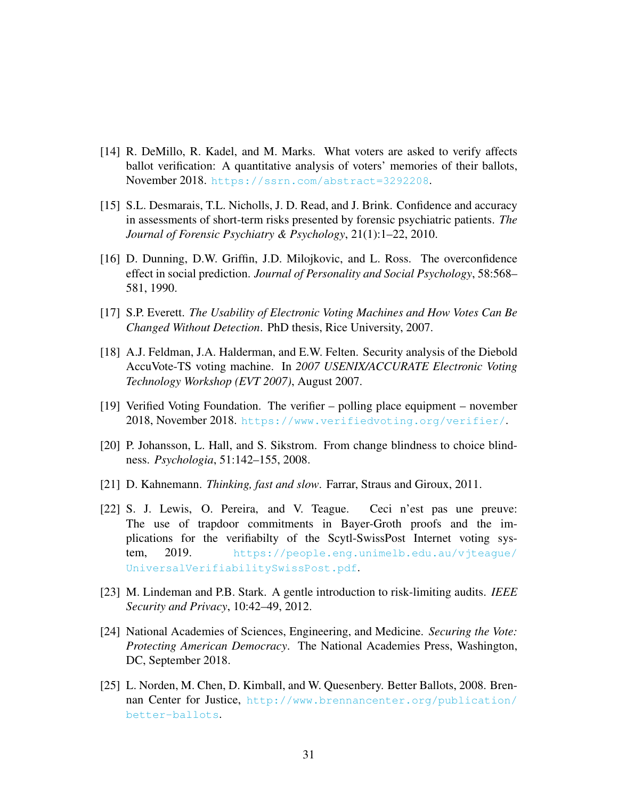- <span id="page-30-4"></span>[14] R. DeMillo, R. Kadel, and M. Marks. What voters are asked to verify affects ballot verification: A quantitative analysis of voters' memories of their ballots, November 2018. <https://ssrn.com/abstract=3292208>.
- <span id="page-30-6"></span>[15] S.L. Desmarais, T.L. Nicholls, J. D. Read, and J. Brink. Confidence and accuracy in assessments of short-term risks presented by forensic psychiatric patients. *The Journal of Forensic Psychiatry & Psychology*, 21(1):1–22, 2010.
- <span id="page-30-7"></span>[16] D. Dunning, D.W. Griffin, J.D. Milojkovic, and L. Ross. The overconfidence effect in social prediction. *Journal of Personality and Social Psychology*, 58:568– 581, 1990.
- <span id="page-30-5"></span>[17] S.P. Everett. *The Usability of Electronic Voting Machines and How Votes Can Be Changed Without Detection*. PhD thesis, Rice University, 2007.
- <span id="page-30-1"></span>[18] A.J. Feldman, J.A. Halderman, and E.W. Felten. Security analysis of the Diebold AccuVote-TS voting machine. In *2007 USENIX/ACCURATE Electronic Voting Technology Workshop (EVT 2007)*, August 2007.
- <span id="page-30-0"></span>[19] Verified Voting Foundation. The verifier – polling place equipment – november 2018, November 2018. <https://www.verifiedvoting.org/verifier/>.
- <span id="page-30-9"></span>[20] P. Johansson, L. Hall, and S. Sikstrom. From change blindness to choice blindness. *Psychologia*, 51:142–155, 2008.
- <span id="page-30-8"></span>[21] D. Kahnemann. *Thinking, fast and slow*. Farrar, Straus and Giroux, 2011.
- <span id="page-30-10"></span>[22] S. J. Lewis, O. Pereira, and V. Teague. Ceci n'est pas une preuve: The use of trapdoor commitments in Bayer-Groth proofs and the implications for the verifiabilty of the Scytl-SwissPost Internet voting system, 2019. [https://people.eng.unimelb.edu.au/vjteague/](https://people.eng.unimelb.edu.au/vjteague/UniversalVerifiabilitySwissPost.pdf) [UniversalVerifiabilitySwissPost.pdf](https://people.eng.unimelb.edu.au/vjteague/UniversalVerifiabilitySwissPost.pdf).
- <span id="page-30-3"></span>[23] M. Lindeman and P.B. Stark. A gentle introduction to risk-limiting audits. *IEEE Security and Privacy*, 10:42–49, 2012.
- <span id="page-30-2"></span>[24] National Academies of Sciences, Engineering, and Medicine. *Securing the Vote: Protecting American Democracy*. The National Academies Press, Washington, DC, September 2018.
- <span id="page-30-11"></span>[25] L. Norden, M. Chen, D. Kimball, and W. Quesenbery. Better Ballots, 2008. Brennan Center for Justice, [http://www.brennancenter.org/publication/](http://www.brennancenter.org/publication/better-ballots) [better-ballots](http://www.brennancenter.org/publication/better-ballots).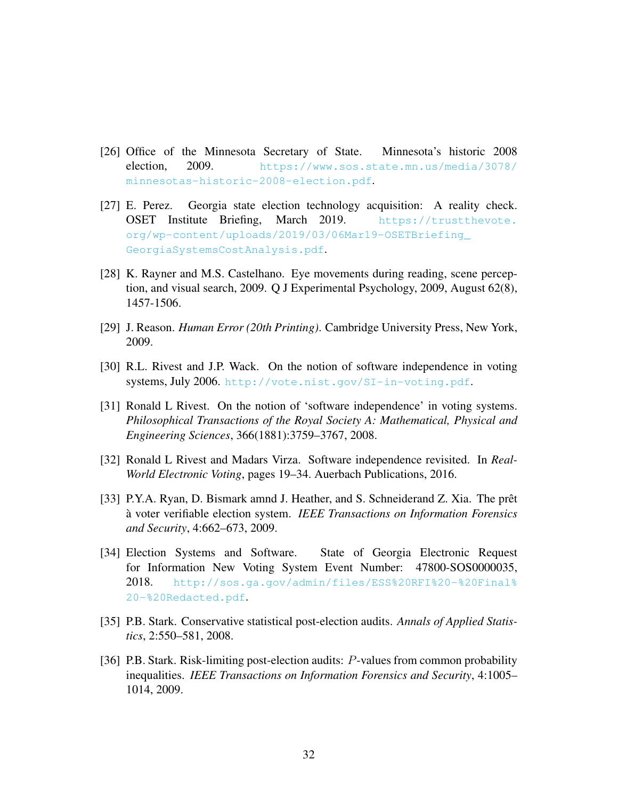- <span id="page-31-9"></span>[26] Office of the Minnesota Secretary of State. Minnesota's historic 2008 election, 2009. [https://www.sos.state.mn.us/media/3078/](https://www.sos.state.mn.us/media/3078/minnesotas-historic-2008-election.pdf) [minnesotas-historic-2008-election.pdf](https://www.sos.state.mn.us/media/3078/minnesotas-historic-2008-election.pdf).
- <span id="page-31-10"></span>[27] E. Perez. Georgia state election technology acquisition: A reality check. OSET Institute Briefing, March 2019. [https://trustthevote.](https://trustthevote.org/wp-content/uploads/2019/03/06Mar19-OSETBriefing_GeorgiaSystemsCostAnalysis.pdf) [org/wp-content/uploads/2019/03/06Mar19-OSETBriefing\\_](https://trustthevote.org/wp-content/uploads/2019/03/06Mar19-OSETBriefing_GeorgiaSystemsCostAnalysis.pdf) [GeorgiaSystemsCostAnalysis.pdf](https://trustthevote.org/wp-content/uploads/2019/03/06Mar19-OSETBriefing_GeorgiaSystemsCostAnalysis.pdf).
- <span id="page-31-5"></span>[28] K. Rayner and M.S. Castelhano. Eye movements during reading, scene perception, and visual search, 2009. Q J Experimental Psychology, 2009, August 62(8), 1457-1506.
- <span id="page-31-7"></span>[29] J. Reason. *Human Error (20th Printing)*. Cambridge University Press, New York, 2009.
- <span id="page-31-0"></span>[30] R.L. Rivest and J.P. Wack. On the notion of software independence in voting systems, July 2006. [http://vote.nist.gov/SI-in-voting.pdf](http://vote.nist.gov/SI-in-voting. pdf).
- <span id="page-31-1"></span>[31] Ronald L Rivest. On the notion of 'software independence' in voting systems. *Philosophical Transactions of the Royal Society A: Mathematical, Physical and Engineering Sciences*, 366(1881):3759–3767, 2008.
- <span id="page-31-2"></span>[32] Ronald L Rivest and Madars Virza. Software independence revisited. In *Real-World Electronic Voting*, pages 19–34. Auerbach Publications, 2016.
- <span id="page-31-8"></span>[33] P.Y.A. Ryan, D. Bismark amnd J. Heather, and S. Schneiderand Z. Xia. The prêt a voter verifiable election system. ` *IEEE Transactions on Information Forensics and Security*, 4:662–673, 2009.
- <span id="page-31-6"></span>[34] Election Systems and Software. State of Georgia Electronic Request for Information New Voting System Event Number: 47800-SOS0000035, 2018. [http://sos.ga.gov/admin/files/ESS%20RFI%20-%20Final%](http://sos.ga.gov/admin/files/ESS%20RFI%20-%20Final%20-%20Redacted.pdf) [20-%20Redacted.pdf](http://sos.ga.gov/admin/files/ESS%20RFI%20-%20Final%20-%20Redacted.pdf).
- <span id="page-31-3"></span>[35] P.B. Stark. Conservative statistical post-election audits. *Annals of Applied Statistics*, 2:550–581, 2008.
- <span id="page-31-4"></span>[36] P.B. Stark. Risk-limiting post-election audits: P-values from common probability inequalities. *IEEE Transactions on Information Forensics and Security*, 4:1005– 1014, 2009.